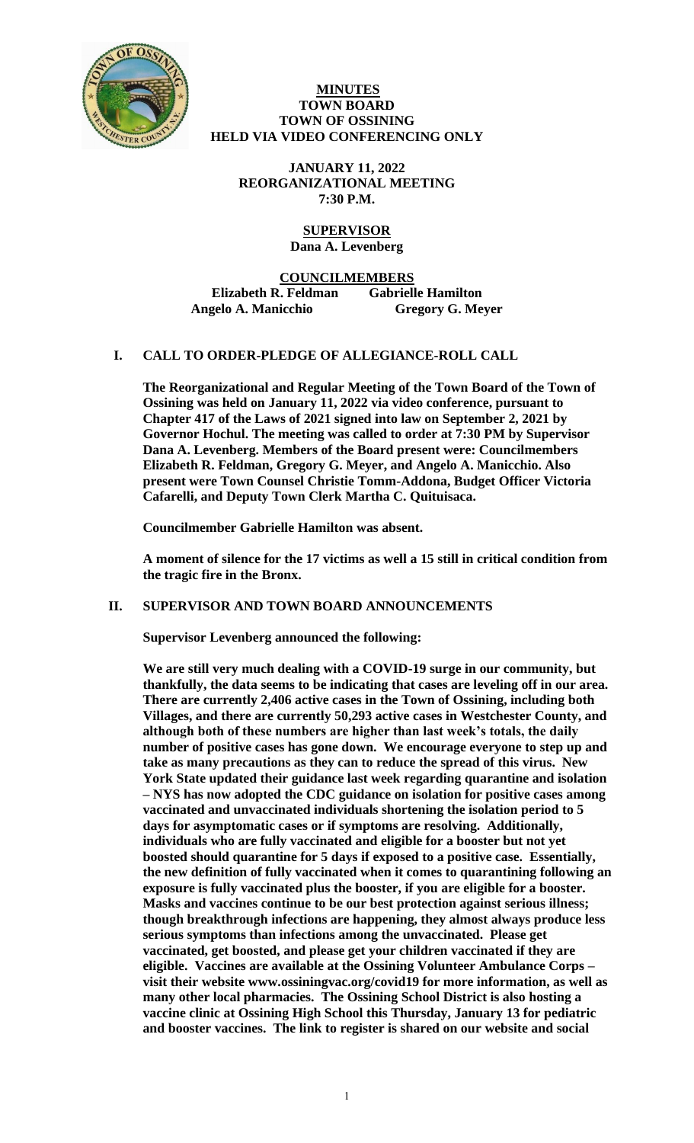

### **MINUTES TOWN BOARD TOWN OF OSSINING HELD VIA VIDEO CONFERENCING ONLY**

**JANUARY 11, 2022 REORGANIZATIONAL MEETING 7:30 P.M.**

# **SUPERVISOR Dana A. Levenberg**

**COUNCILMEMBERS**

**Elizabeth R. Feldman Gabrielle Hamilton Angelo A. Manicchio Gregory G. Meyer**

# **I. CALL TO ORDER-PLEDGE OF ALLEGIANCE-ROLL CALL**

**The Reorganizational and Regular Meeting of the Town Board of the Town of Ossining was held on January 11, 2022 via video conference, pursuant to Chapter 417 of the Laws of 2021 signed into law on September 2, 2021 by Governor Hochul. The meeting was called to order at 7:30 PM by Supervisor Dana A. Levenberg. Members of the Board present were: Councilmembers Elizabeth R. Feldman, Gregory G. Meyer, and Angelo A. Manicchio. Also present were Town Counsel Christie Tomm-Addona, Budget Officer Victoria Cafarelli, and Deputy Town Clerk Martha C. Quituisaca.** 

**Councilmember Gabrielle Hamilton was absent.** 

**A moment of silence for the 17 victims as well a 15 still in critical condition from the tragic fire in the Bronx.**

# **II. SUPERVISOR AND TOWN BOARD ANNOUNCEMENTS**

**Supervisor Levenberg announced the following:**

**We are still very much dealing with a COVID-19 surge in our community, but thankfully, the data seems to be indicating that cases are leveling off in our area. There are currently 2,406 active cases in the Town of Ossining, including both Villages, and there are currently 50,293 active cases in Westchester County, and although both of these numbers are higher than last week's totals, the daily number of positive cases has gone down. We encourage everyone to step up and take as many precautions as they can to reduce the spread of this virus. New York State updated their guidance last week regarding quarantine and isolation – NYS has now adopted the CDC guidance on isolation for positive cases among vaccinated and unvaccinated individuals shortening the isolation period to 5 days for asymptomatic cases or if symptoms are resolving. Additionally, individuals who are fully vaccinated and eligible for a booster but not yet boosted should quarantine for 5 days if exposed to a positive case. Essentially, the new definition of fully vaccinated when it comes to quarantining following an exposure is fully vaccinated plus the booster, if you are eligible for a booster. Masks and vaccines continue to be our best protection against serious illness; though breakthrough infections are happening, they almost always produce less serious symptoms than infections among the unvaccinated. Please get vaccinated, get boosted, and please get your children vaccinated if they are eligible. Vaccines are available at the Ossining Volunteer Ambulance Corps – visit their website www.ossiningvac.org/covid19 for more information, as well as many other local pharmacies. The Ossining School District is also hosting a vaccine clinic at Ossining High School this Thursday, January 13 for pediatric and booster vaccines. The link to register is shared on our website and social**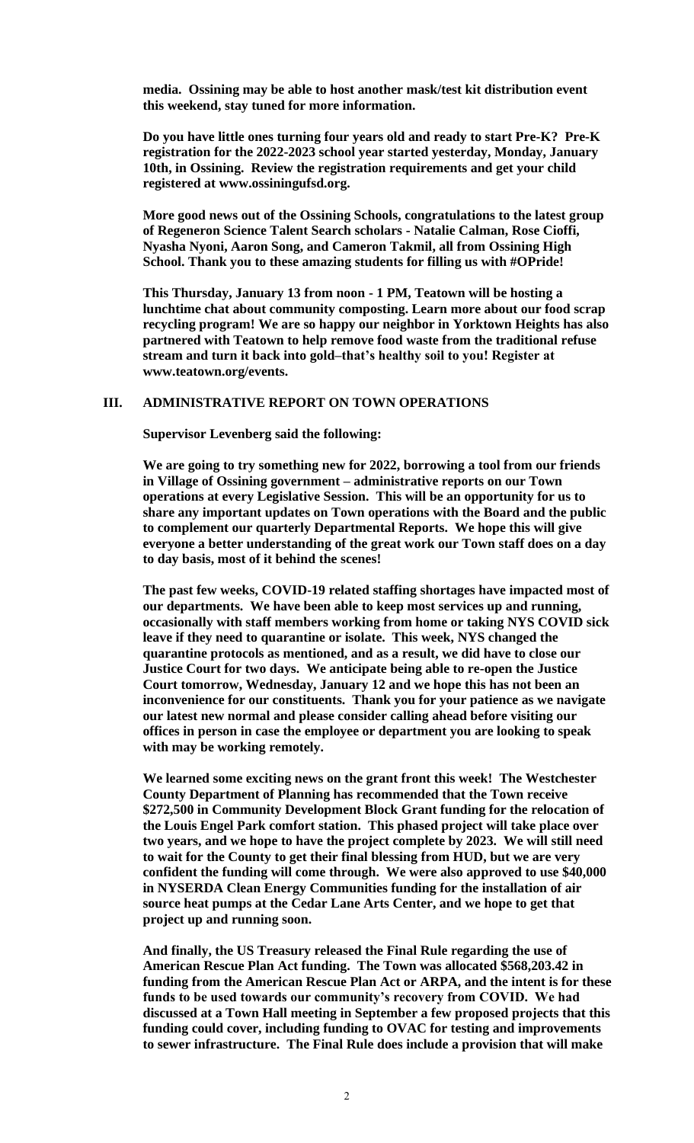**media. Ossining may be able to host another mask/test kit distribution event this weekend, stay tuned for more information.** 

**Do you have little ones turning four years old and ready to start Pre-K? Pre-K registration for the 2022-2023 school year started yesterday, Monday, January 10th, in Ossining. Review the registration requirements and get your child registered at www.ossiningufsd.org.** 

**More good news out of the Ossining Schools, congratulations to the latest group of Regeneron Science Talent Search scholars - Natalie Calman, Rose Cioffi, Nyasha Nyoni, Aaron Song, and Cameron Takmil, all from Ossining High School. Thank you to these amazing students for filling us with #OPride!**

**This Thursday, January 13 from noon - 1 PM, Teatown will be hosting a lunchtime chat about community composting. Learn more about our food scrap recycling program! We are so happy our neighbor in Yorktown Heights has also partnered with Teatown to help remove food waste from the traditional refuse stream and turn it back into gold–that's healthy soil to you! Register at www.teatown.org/events.**

# **III. ADMINISTRATIVE REPORT ON TOWN OPERATIONS**

**Supervisor Levenberg said the following:**

**We are going to try something new for 2022, borrowing a tool from our friends in Village of Ossining government – administrative reports on our Town operations at every Legislative Session. This will be an opportunity for us to share any important updates on Town operations with the Board and the public to complement our quarterly Departmental Reports. We hope this will give everyone a better understanding of the great work our Town staff does on a day to day basis, most of it behind the scenes!**

**The past few weeks, COVID-19 related staffing shortages have impacted most of our departments. We have been able to keep most services up and running, occasionally with staff members working from home or taking NYS COVID sick leave if they need to quarantine or isolate. This week, NYS changed the quarantine protocols as mentioned, and as a result, we did have to close our Justice Court for two days. We anticipate being able to re-open the Justice Court tomorrow, Wednesday, January 12 and we hope this has not been an inconvenience for our constituents. Thank you for your patience as we navigate our latest new normal and please consider calling ahead before visiting our offices in person in case the employee or department you are looking to speak with may be working remotely.** 

**We learned some exciting news on the grant front this week! The Westchester County Department of Planning has recommended that the Town receive \$272,500 in Community Development Block Grant funding for the relocation of the Louis Engel Park comfort station. This phased project will take place over two years, and we hope to have the project complete by 2023. We will still need to wait for the County to get their final blessing from HUD, but we are very confident the funding will come through. We were also approved to use \$40,000 in NYSERDA Clean Energy Communities funding for the installation of air source heat pumps at the Cedar Lane Arts Center, and we hope to get that project up and running soon.** 

**And finally, the US Treasury released the Final Rule regarding the use of American Rescue Plan Act funding. The Town was allocated \$568,203.42 in funding from the American Rescue Plan Act or ARPA, and the intent is for these funds to be used towards our community's recovery from COVID. We had discussed at a Town Hall meeting in September a few proposed projects that this funding could cover, including funding to OVAC for testing and improvements to sewer infrastructure. The Final Rule does include a provision that will make**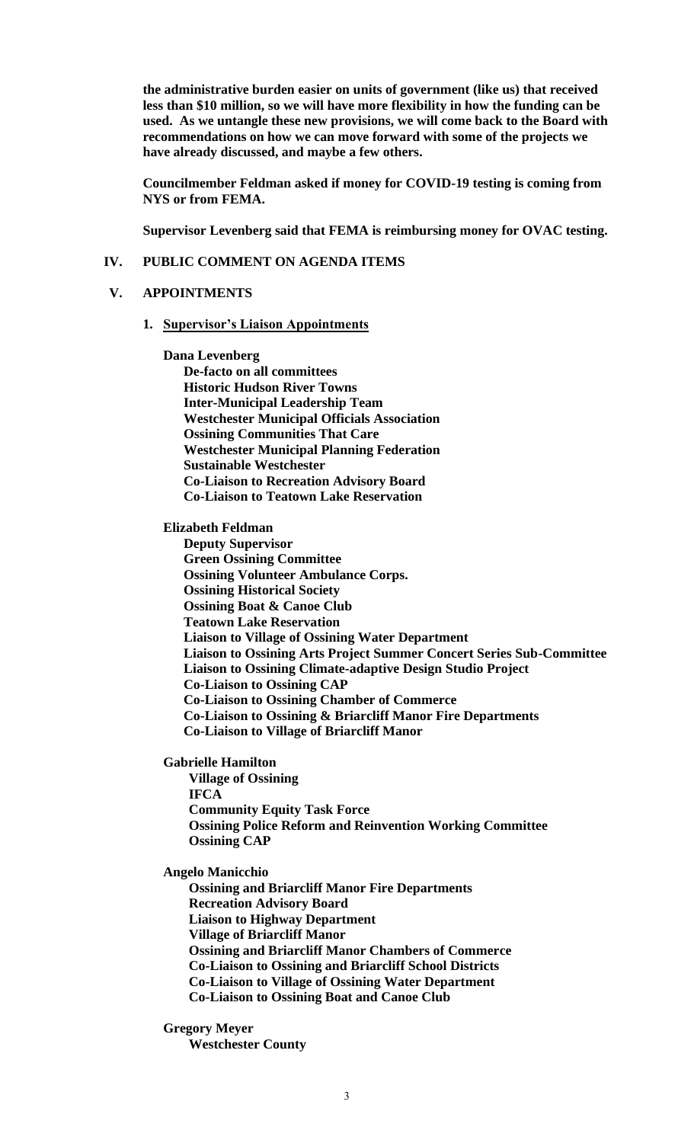**the administrative burden easier on units of government (like us) that received less than \$10 million, so we will have more flexibility in how the funding can be used. As we untangle these new provisions, we will come back to the Board with recommendations on how we can move forward with some of the projects we have already discussed, and maybe a few others.**

**Councilmember Feldman asked if money for COVID-19 testing is coming from NYS or from FEMA.**

**Supervisor Levenberg said that FEMA is reimbursing money for OVAC testing.**

### **IV. PUBLIC COMMENT ON AGENDA ITEMS**

### **V. APPOINTMENTS**

- **1. Supervisor's Liaison Appointments**
	- **Dana Levenberg**

**De-facto on all committees Historic Hudson River Towns Inter-Municipal Leadership Team Westchester Municipal Officials Association Ossining Communities That Care Westchester Municipal Planning Federation Sustainable Westchester Co-Liaison to Recreation Advisory Board Co-Liaison to Teatown Lake Reservation**

**Elizabeth Feldman**

**Deputy Supervisor Green Ossining Committee Ossining Volunteer Ambulance Corps. Ossining Historical Society Ossining Boat & Canoe Club Teatown Lake Reservation Liaison to Village of Ossining Water Department Liaison to Ossining Arts Project Summer Concert Series Sub-Committee Liaison to Ossining Climate-adaptive Design Studio Project Co-Liaison to Ossining CAP Co-Liaison to Ossining Chamber of Commerce Co-Liaison to Ossining & Briarcliff Manor Fire Departments Co-Liaison to Village of Briarcliff Manor**

**Gabrielle Hamilton**

**Village of Ossining IFCA Community Equity Task Force Ossining Police Reform and Reinvention Working Committee Ossining CAP**

**Angelo Manicchio** 

**Ossining and Briarcliff Manor Fire Departments Recreation Advisory Board Liaison to Highway Department Village of Briarcliff Manor Ossining and Briarcliff Manor Chambers of Commerce Co-Liaison to Ossining and Briarcliff School Districts Co-Liaison to Village of Ossining Water Department Co-Liaison to Ossining Boat and Canoe Club**

**Gregory Meyer Westchester County**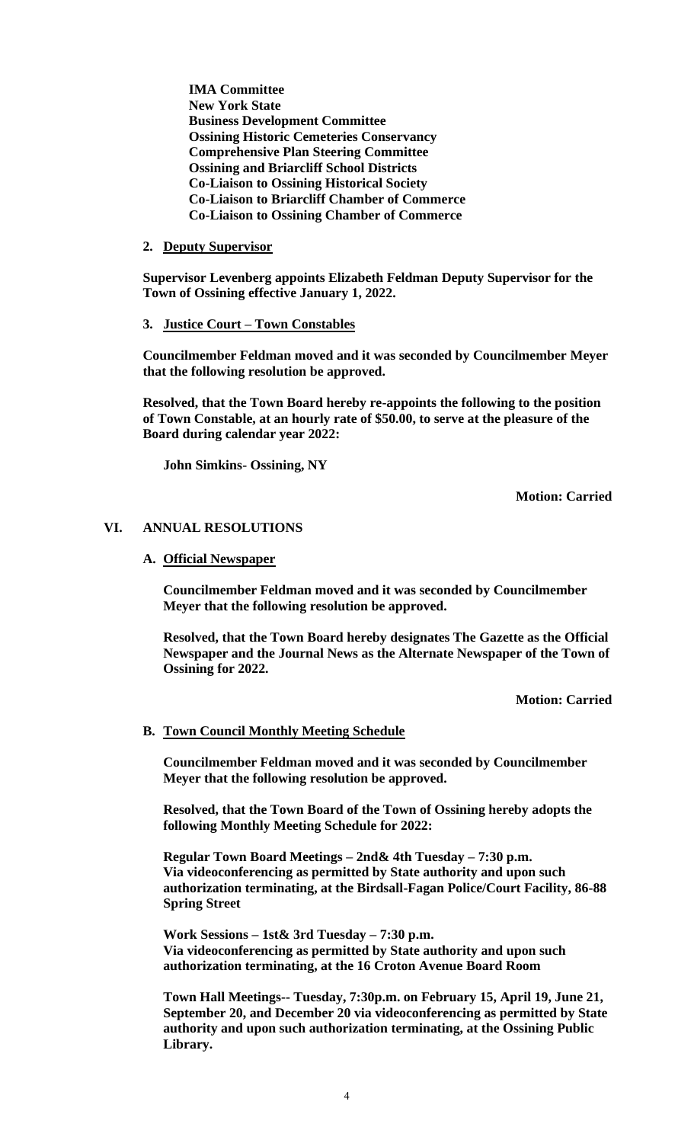**IMA Committee New York State Business Development Committee Ossining Historic Cemeteries Conservancy Comprehensive Plan Steering Committee Ossining and Briarcliff School Districts Co-Liaison to Ossining Historical Society Co-Liaison to Briarcliff Chamber of Commerce Co-Liaison to Ossining Chamber of Commerce**

### **2. Deputy Supervisor**

**Supervisor Levenberg appoints Elizabeth Feldman Deputy Supervisor for the Town of Ossining effective January 1, 2022.**

**3. Justice Court – Town Constables**

**Councilmember Feldman moved and it was seconded by Councilmember Meyer that the following resolution be approved.**

**Resolved, that the Town Board hereby re-appoints the following to the position of Town Constable, at an hourly rate of \$50.00, to serve at the pleasure of the Board during calendar year 2022:**

**John Simkins- Ossining, NY**

**Motion: Carried**

### **VI. ANNUAL RESOLUTIONS**

### **A. Official Newspaper**

**Councilmember Feldman moved and it was seconded by Councilmember Meyer that the following resolution be approved.**

**Resolved, that the Town Board hereby designates The Gazette as the Official Newspaper and the Journal News as the Alternate Newspaper of the Town of Ossining for 2022.**

**Motion: Carried**

### **B. Town Council Monthly Meeting Schedule**

**Councilmember Feldman moved and it was seconded by Councilmember Meyer that the following resolution be approved.**

**Resolved, that the Town Board of the Town of Ossining hereby adopts the following Monthly Meeting Schedule for 2022:**

**Regular Town Board Meetings – 2nd& 4th Tuesday – 7:30 p.m. Via videoconferencing as permitted by State authority and upon such authorization terminating, at the Birdsall-Fagan Police/Court Facility, 86-88 Spring Street**

**Work Sessions – 1st& 3rd Tuesday – 7:30 p.m. Via videoconferencing as permitted by State authority and upon such authorization terminating, at the 16 Croton Avenue Board Room**

**Town Hall Meetings-- Tuesday, 7:30p.m. on February 15, April 19, June 21, September 20, and December 20 via videoconferencing as permitted by State authority and upon such authorization terminating, at the Ossining Public Library.**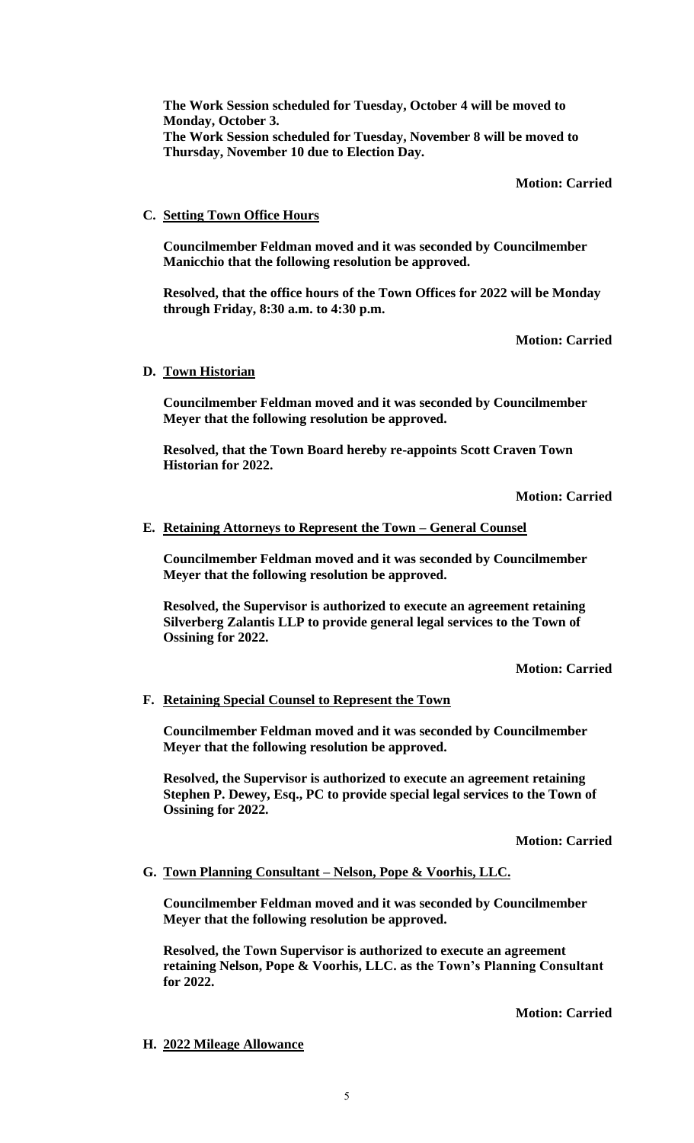**The Work Session scheduled for Tuesday, October 4 will be moved to Monday, October 3. The Work Session scheduled for Tuesday, November 8 will be moved to Thursday, November 10 due to Election Day.**

### **Motion: Carried**

# **C. Setting Town Office Hours**

**Councilmember Feldman moved and it was seconded by Councilmember Manicchio that the following resolution be approved.**

**Resolved, that the office hours of the Town Offices for 2022 will be Monday through Friday, 8:30 a.m. to 4:30 p.m.**

**Motion: Carried**

# **D. Town Historian**

**Councilmember Feldman moved and it was seconded by Councilmember Meyer that the following resolution be approved.**

**Resolved, that the Town Board hereby re-appoints Scott Craven Town Historian for 2022.**

**Motion: Carried**

# **E. Retaining Attorneys to Represent the Town – General Counsel**

**Councilmember Feldman moved and it was seconded by Councilmember Meyer that the following resolution be approved.**

**Resolved, the Supervisor is authorized to execute an agreement retaining Silverberg Zalantis LLP to provide general legal services to the Town of Ossining for 2022.**

**Motion: Carried**

# **F. Retaining Special Counsel to Represent the Town**

**Councilmember Feldman moved and it was seconded by Councilmember Meyer that the following resolution be approved.**

**Resolved, the Supervisor is authorized to execute an agreement retaining Stephen P. Dewey, Esq., PC to provide special legal services to the Town of Ossining for 2022.**

**Motion: Carried**

### **G. Town Planning Consultant – Nelson, Pope & Voorhis, LLC.**

**Councilmember Feldman moved and it was seconded by Councilmember Meyer that the following resolution be approved.**

**Resolved, the Town Supervisor is authorized to execute an agreement retaining Nelson, Pope & Voorhis, LLC. as the Town's Planning Consultant for 2022.** 

**Motion: Carried**

### **H. 2022 Mileage Allowance**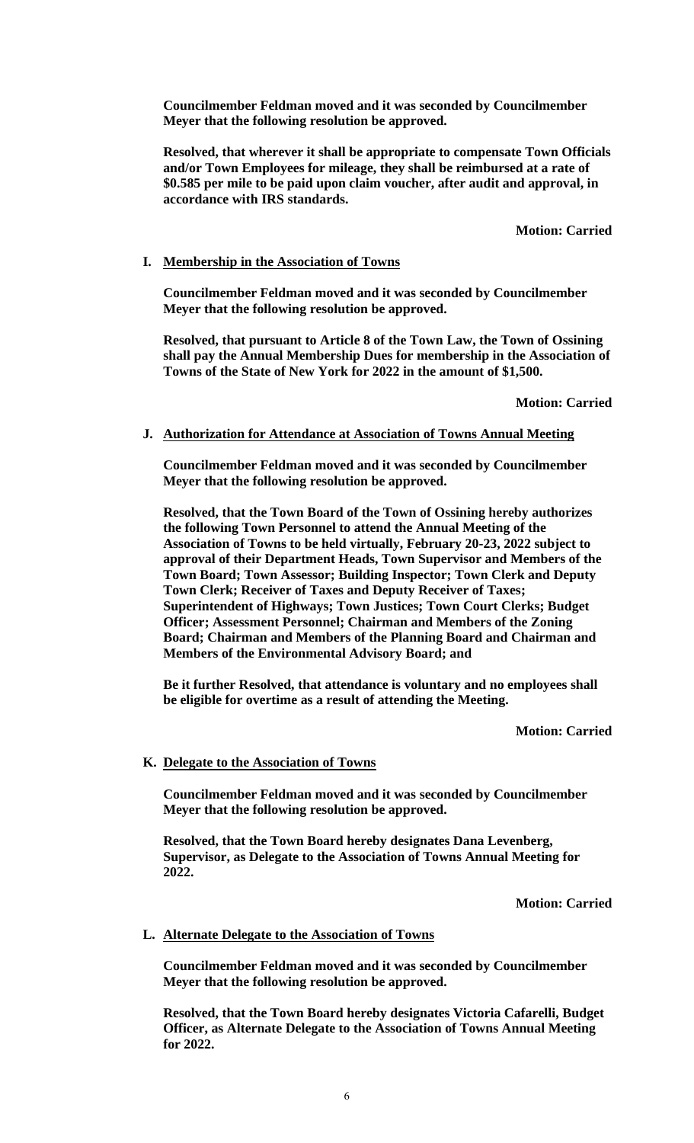**Councilmember Feldman moved and it was seconded by Councilmember Meyer that the following resolution be approved.**

**Resolved, that wherever it shall be appropriate to compensate Town Officials and/or Town Employees for mileage, they shall be reimbursed at a rate of \$0.585 per mile to be paid upon claim voucher, after audit and approval, in accordance with IRS standards.**

**Motion: Carried**

### **I. Membership in the Association of Towns**

**Councilmember Feldman moved and it was seconded by Councilmember Meyer that the following resolution be approved.**

**Resolved, that pursuant to Article 8 of the Town Law, the Town of Ossining shall pay the Annual Membership Dues for membership in the Association of Towns of the State of New York for 2022 in the amount of \$1,500.**

**Motion: Carried**

### **J. Authorization for Attendance at Association of Towns Annual Meeting**

**Councilmember Feldman moved and it was seconded by Councilmember Meyer that the following resolution be approved.**

**Resolved, that the Town Board of the Town of Ossining hereby authorizes the following Town Personnel to attend the Annual Meeting of the Association of Towns to be held virtually, February 20-23, 2022 subject to approval of their Department Heads, Town Supervisor and Members of the Town Board; Town Assessor; Building Inspector; Town Clerk and Deputy Town Clerk; Receiver of Taxes and Deputy Receiver of Taxes; Superintendent of Highways; Town Justices; Town Court Clerks; Budget Officer; Assessment Personnel; Chairman and Members of the Zoning Board; Chairman and Members of the Planning Board and Chairman and Members of the Environmental Advisory Board; and**

**Be it further Resolved, that attendance is voluntary and no employees shall be eligible for overtime as a result of attending the Meeting.**

### **Motion: Carried**

### **K. Delegate to the Association of Towns**

**Councilmember Feldman moved and it was seconded by Councilmember Meyer that the following resolution be approved.**

**Resolved, that the Town Board hereby designates Dana Levenberg, Supervisor, as Delegate to the Association of Towns Annual Meeting for 2022.**

**Motion: Carried**

### **L. Alternate Delegate to the Association of Towns**

**Councilmember Feldman moved and it was seconded by Councilmember Meyer that the following resolution be approved.**

**Resolved, that the Town Board hereby designates Victoria Cafarelli, Budget Officer, as Alternate Delegate to the Association of Towns Annual Meeting for 2022.**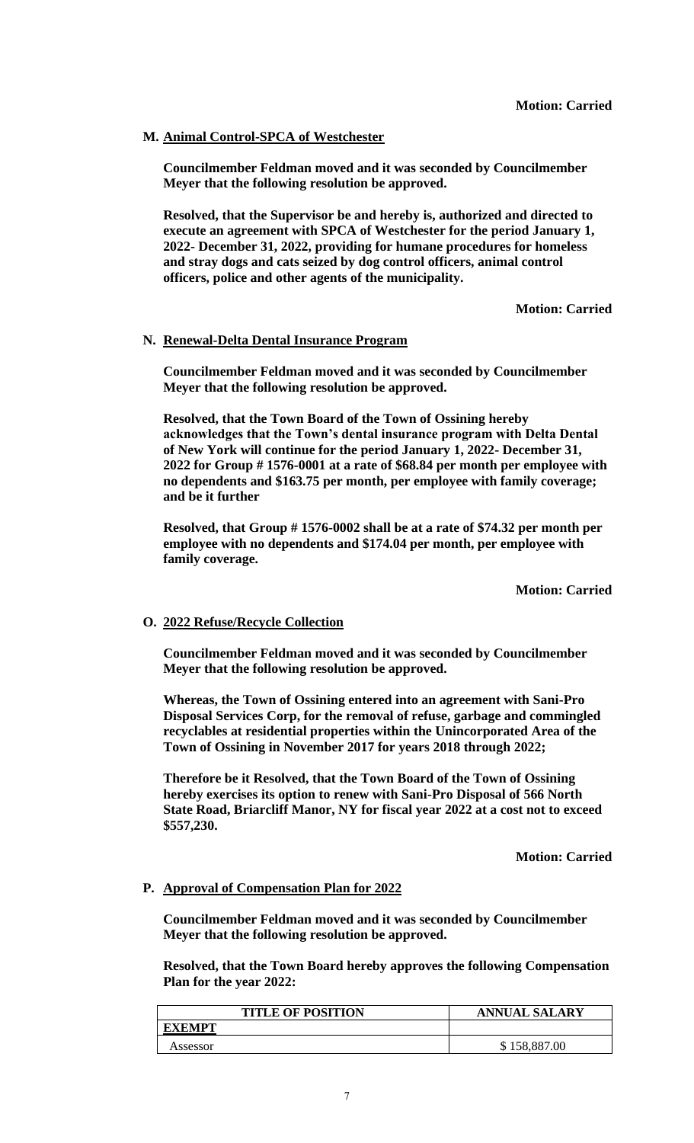# **M. Animal Control-SPCA of Westchester**

**Councilmember Feldman moved and it was seconded by Councilmember Meyer that the following resolution be approved.**

**Resolved, that the Supervisor be and hereby is, authorized and directed to execute an agreement with SPCA of Westchester for the period January 1, 2022- December 31, 2022, providing for humane procedures for homeless and stray dogs and cats seized by dog control officers, animal control officers, police and other agents of the municipality.**

**Motion: Carried**

# **N. Renewal-Delta Dental Insurance Program**

**Councilmember Feldman moved and it was seconded by Councilmember Meyer that the following resolution be approved.**

**Resolved, that the Town Board of the Town of Ossining hereby acknowledges that the Town's dental insurance program with Delta Dental of New York will continue for the period January 1, 2022- December 31, 2022 for Group # 1576-0001 at a rate of \$68.84 per month per employee with no dependents and \$163.75 per month, per employee with family coverage; and be it further**

**Resolved, that Group # 1576-0002 shall be at a rate of \$74.32 per month per employee with no dependents and \$174.04 per month, per employee with family coverage.**

**Motion: Carried**

# **O. 2022 Refuse/Recycle Collection**

**Councilmember Feldman moved and it was seconded by Councilmember Meyer that the following resolution be approved.**

**Whereas, the Town of Ossining entered into an agreement with Sani-Pro Disposal Services Corp, for the removal of refuse, garbage and commingled recyclables at residential properties within the Unincorporated Area of the Town of Ossining in November 2017 for years 2018 through 2022;** 

**Therefore be it Resolved, that the Town Board of the Town of Ossining hereby exercises its option to renew with Sani-Pro Disposal of 566 North State Road, Briarcliff Manor, NY for fiscal year 2022 at a cost not to exceed \$557,230.** 

**Motion: Carried**

# **P. Approval of Compensation Plan for 2022**

**Councilmember Feldman moved and it was seconded by Councilmember Meyer that the following resolution be approved.**

**Resolved, that the Town Board hereby approves the following Compensation Plan for the year 2022:**

| <b>TITLE OF POSITION</b> | <b>ANNUAL SALARY</b> |
|--------------------------|----------------------|
| <b>EXEMPT</b>            |                      |
| Assessor                 | 158,887.00           |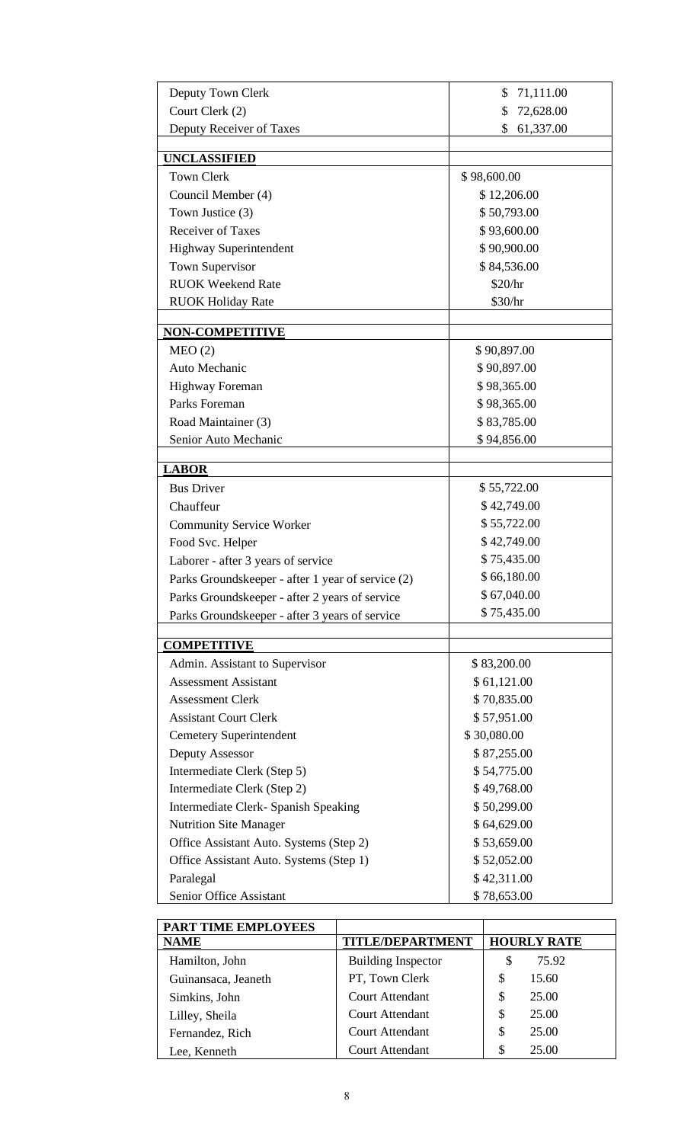| Deputy Town Clerk                                 | 71,111.00<br>\$            |  |
|---------------------------------------------------|----------------------------|--|
| Court Clerk (2)                                   | 72,628.00<br>\$            |  |
| Deputy Receiver of Taxes<br>\$<br>61,337.00       |                            |  |
| <b>UNCLASSIFIED</b>                               |                            |  |
| <b>Town Clerk</b>                                 | \$98,600.00                |  |
| Council Member (4)                                | \$12,206.00                |  |
| Town Justice (3)                                  | \$50,793.00                |  |
| <b>Receiver of Taxes</b>                          | \$93,600.00                |  |
| <b>Highway Superintendent</b>                     | \$90,900.00                |  |
| Town Supervisor                                   | \$84,536.00                |  |
| <b>RUOK Weekend Rate</b>                          | \$20/hr                    |  |
| <b>RUOK Holiday Rate</b>                          | \$30/hr                    |  |
| <b>NON-COMPETITIVE</b>                            |                            |  |
| MEO(2)                                            | \$90,897.00                |  |
| Auto Mechanic                                     | \$90,897.00                |  |
| <b>Highway Foreman</b>                            | \$98,365.00                |  |
| Parks Foreman                                     | \$98,365.00                |  |
| Road Maintainer (3)                               | \$83,785.00                |  |
| Senior Auto Mechanic                              | \$94,856.00                |  |
|                                                   |                            |  |
| <b>LABOR</b>                                      |                            |  |
| <b>Bus Driver</b>                                 | \$55,722.00                |  |
| Chauffeur                                         | \$42,749.00                |  |
| <b>Community Service Worker</b>                   | \$55,722.00                |  |
| Food Svc. Helper                                  | \$42,749.00                |  |
| Laborer - after 3 years of service                | \$75,435.00                |  |
| Parks Groundskeeper - after 1 year of service (2) | \$66,180.00<br>\$67,040.00 |  |
| Parks Groundskeeper - after 2 years of service    | \$75,435.00                |  |
| Parks Groundskeeper - after 3 years of service    |                            |  |
| <b>COMPETITIVE</b>                                |                            |  |
| Admin. Assistant to Supervisor                    | \$83,200.00                |  |
| <b>Assessment Assistant</b>                       | \$61,121.00                |  |
| <b>Assessment Clerk</b>                           | \$70,835.00                |  |
| <b>Assistant Court Clerk</b>                      | \$57,951.00                |  |
| <b>Cemetery Superintendent</b>                    | \$30,080.00                |  |
| Deputy Assessor                                   | \$87,255.00                |  |
| Intermediate Clerk (Step 5)                       | \$54,775.00                |  |
| Intermediate Clerk (Step 2)                       | \$49,768.00                |  |
| Intermediate Clerk- Spanish Speaking              | \$50,299.00                |  |
| <b>Nutrition Site Manager</b>                     | \$64,629.00                |  |
| Office Assistant Auto. Systems (Step 2)           | \$53,659.00                |  |
| Office Assistant Auto. Systems (Step 1)           | \$52,052.00                |  |
| Paralegal                                         | \$42,311.00                |  |
| Senior Office Assistant                           | \$78,653.00                |  |

| PART TIME EMPLOYEES |                           |                    |
|---------------------|---------------------------|--------------------|
| <b>NAME</b>         | <b>TITLE/DEPARTMENT</b>   | <b>HOURLY RATE</b> |
| Hamilton, John      | <b>Building Inspector</b> | 75.92<br>S         |
| Guinansaca, Jeaneth | PT, Town Clerk            | \$<br>15.60        |
| Simkins, John       | <b>Court Attendant</b>    | \$<br>25.00        |
| Lilley, Sheila      | <b>Court Attendant</b>    | \$<br>25.00        |
| Fernandez, Rich     | <b>Court Attendant</b>    | \$<br>25.00        |
| Lee. Kenneth        | <b>Court Attendant</b>    | \$<br>25.00        |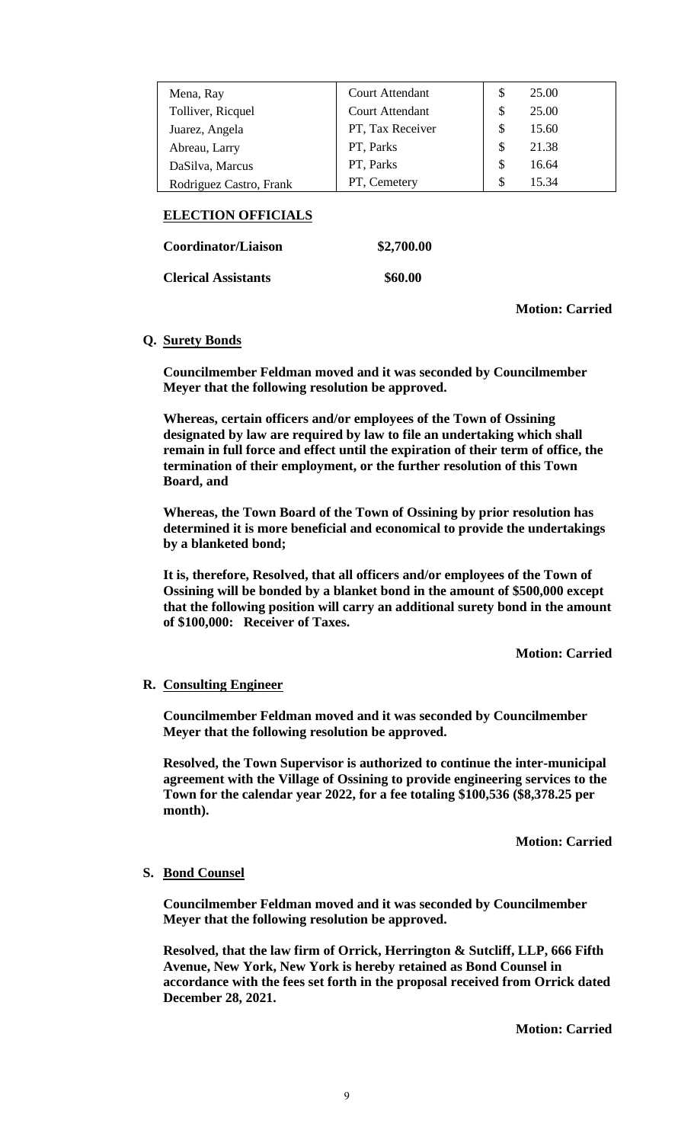| Mena, Ray               | <b>Court Attendant</b> | S  | 25.00 |
|-------------------------|------------------------|----|-------|
| Tolliver, Ricquel       | <b>Court Attendant</b> | S  | 25.00 |
| Juarez, Angela          | PT, Tax Receiver       | S  | 15.60 |
| Abreau, Larry           | PT, Parks              | \$ | 21.38 |
| DaSilva, Marcus         | PT, Parks              | \$ | 16.64 |
| Rodriguez Castro, Frank | PT, Cemetery           | S  | 15.34 |

# **ELECTION OFFICIALS**

**Coordinator/Liaison \$2,700.00** 

**Clerical Assistants \$60.00** 

**Motion: Carried**

# **Q. Surety Bonds**

**Councilmember Feldman moved and it was seconded by Councilmember Meyer that the following resolution be approved.**

**Whereas, certain officers and/or employees of the Town of Ossining designated by law are required by law to file an undertaking which shall remain in full force and effect until the expiration of their term of office, the termination of their employment, or the further resolution of this Town Board, and**

**Whereas, the Town Board of the Town of Ossining by prior resolution has determined it is more beneficial and economical to provide the undertakings by a blanketed bond;**

**It is, therefore, Resolved, that all officers and/or employees of the Town of Ossining will be bonded by a blanket bond in the amount of \$500,000 except that the following position will carry an additional surety bond in the amount of \$100,000: Receiver of Taxes.**

**Motion: Carried**

# **R. Consulting Engineer**

**Councilmember Feldman moved and it was seconded by Councilmember Meyer that the following resolution be approved.**

**Resolved, the Town Supervisor is authorized to continue the inter-municipal agreement with the Village of Ossining to provide engineering services to the Town for the calendar year 2022, for a fee totaling \$100,536 (\$8,378.25 per month).** 

**Motion: Carried**

# **S. Bond Counsel**

**Councilmember Feldman moved and it was seconded by Councilmember Meyer that the following resolution be approved.**

**Resolved, that the law firm of Orrick, Herrington & Sutcliff, LLP, 666 Fifth Avenue, New York, New York is hereby retained as Bond Counsel in accordance with the fees set forth in the proposal received from Orrick dated December 28, 2021.**

**Motion: Carried**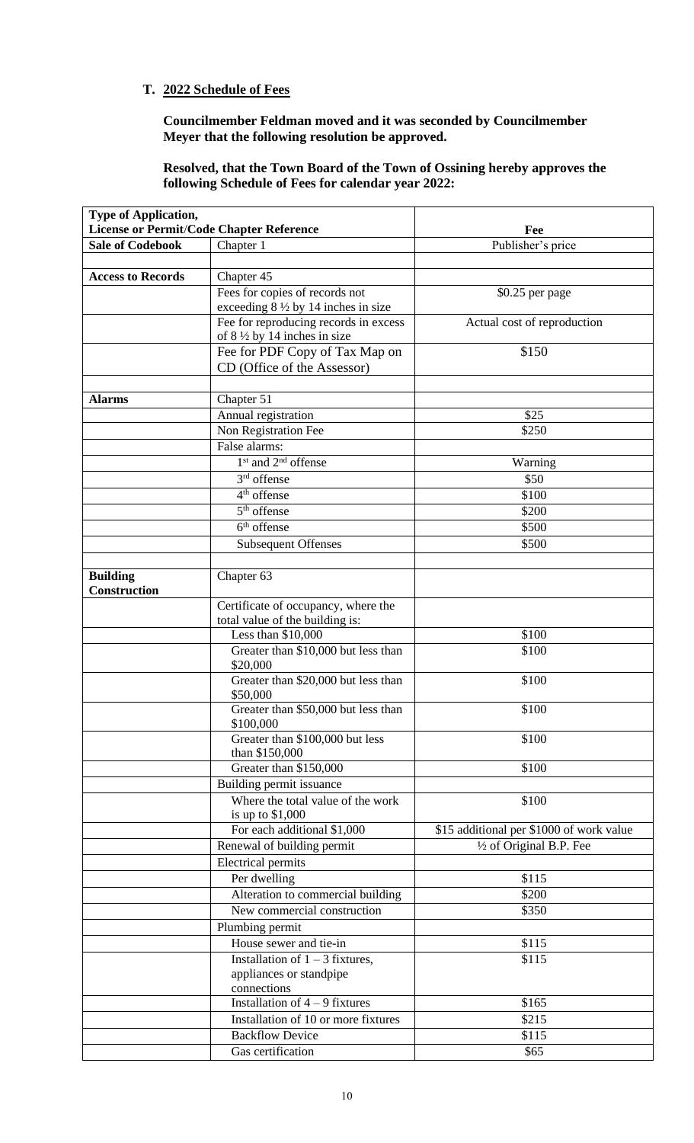# **T. 2022 Schedule of Fees**

**Councilmember Feldman moved and it was seconded by Councilmember Meyer that the following resolution be approved.**

**Resolved, that the Town Board of the Town of Ossining hereby approves the following Schedule of Fees for calendar year 2022:**

| <b>Type of Application,</b>              |                                                                             |                                          |
|------------------------------------------|-----------------------------------------------------------------------------|------------------------------------------|
| License or Permit/Code Chapter Reference |                                                                             | Fee                                      |
| <b>Sale of Codebook</b>                  | Chapter 1                                                                   | Publisher's price                        |
|                                          |                                                                             |                                          |
| <b>Access to Records</b>                 | Chapter 45                                                                  |                                          |
|                                          | Fees for copies of records not                                              | \$0.25 per page                          |
|                                          | exceeding $8\frac{1}{2}$ by 14 inches in size                               |                                          |
|                                          | Fee for reproducing records in excess                                       | Actual cost of reproduction              |
|                                          | of $8\frac{1}{2}$ by 14 inches in size                                      |                                          |
|                                          | Fee for PDF Copy of Tax Map on                                              | \$150                                    |
|                                          | CD (Office of the Assessor)                                                 |                                          |
|                                          |                                                                             |                                          |
| <b>Alarms</b>                            | Chapter 51                                                                  |                                          |
|                                          | Annual registration                                                         | \$25                                     |
|                                          | Non Registration Fee                                                        | \$250                                    |
|                                          | False alarms:                                                               |                                          |
|                                          | 1 <sup>st</sup> and 2 <sup>nd</sup> offense                                 | Warning                                  |
|                                          | $3rd$ offense                                                               | \$50                                     |
|                                          | $4th$ of fense                                                              | \$100                                    |
|                                          | $5th$ offense                                                               | \$200                                    |
|                                          | $6th$ offense                                                               | \$500                                    |
|                                          | <b>Subsequent Offenses</b>                                                  | \$500                                    |
|                                          |                                                                             |                                          |
| <b>Building</b><br>Construction          | Chapter 63                                                                  |                                          |
|                                          | Certificate of occupancy, where the                                         |                                          |
|                                          | total value of the building is:                                             |                                          |
|                                          | Less than \$10,000                                                          | \$100                                    |
|                                          | Greater than \$10,000 but less than<br>\$20,000                             | \$100                                    |
|                                          | Greater than \$20,000 but less than<br>\$50,000                             | \$100                                    |
|                                          | Greater than \$50,000 but less than<br>\$100,000                            | \$100                                    |
|                                          | Greater than \$100,000 but less<br>than \$150,000                           | \$100                                    |
|                                          | Greater than \$150,000                                                      | \$100                                    |
|                                          | Building permit issuance                                                    |                                          |
|                                          | Where the total value of the work                                           | \$100                                    |
|                                          | is up to $$1,000$                                                           |                                          |
|                                          | For each additional \$1,000                                                 | \$15 additional per \$1000 of work value |
|                                          | Renewal of building permit                                                  | $\frac{1}{2}$ of Original B.P. Fee       |
|                                          | <b>Electrical permits</b>                                                   |                                          |
|                                          | Per dwelling                                                                | \$115                                    |
|                                          | Alteration to commercial building                                           | \$200                                    |
|                                          | New commercial construction                                                 | \$350                                    |
|                                          | Plumbing permit                                                             |                                          |
|                                          | House sewer and tie-in                                                      | \$115                                    |
|                                          | Installation of $1 - 3$ fixtures,<br>appliances or standpipe<br>connections | \$115                                    |
|                                          | Installation of $4 - 9$ fixtures                                            | \$165                                    |
|                                          | Installation of 10 or more fixtures                                         | \$215                                    |
|                                          | <b>Backflow Device</b>                                                      | \$115                                    |
|                                          | Gas certification                                                           | \$65                                     |
|                                          |                                                                             |                                          |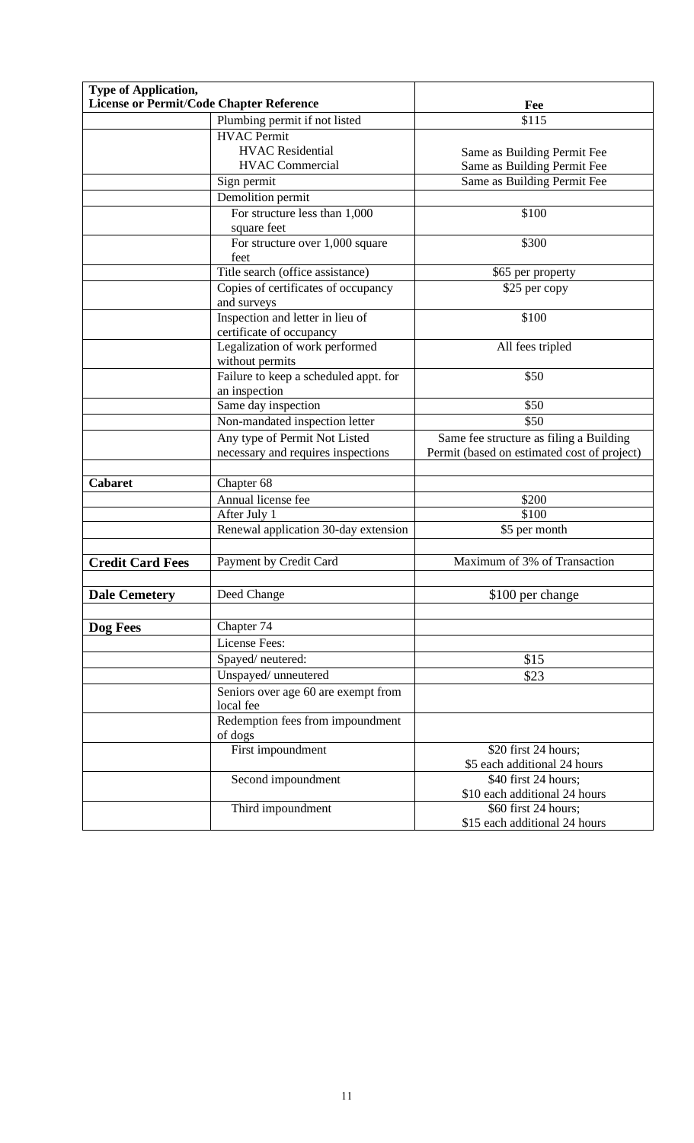| <b>Type of Application,</b><br>License or Permit/Code Chapter Reference |                                                                     | Fee                                                                                    |  |
|-------------------------------------------------------------------------|---------------------------------------------------------------------|----------------------------------------------------------------------------------------|--|
|                                                                         | Plumbing permit if not listed                                       | \$115                                                                                  |  |
|                                                                         | <b>HVAC</b> Permit                                                  |                                                                                        |  |
|                                                                         | <b>HVAC</b> Residential                                             |                                                                                        |  |
|                                                                         | <b>HVAC Commercial</b>                                              | Same as Building Permit Fee                                                            |  |
|                                                                         |                                                                     | Same as Building Permit Fee                                                            |  |
|                                                                         | Sign permit                                                         | Same as Building Permit Fee                                                            |  |
|                                                                         | Demolition permit                                                   |                                                                                        |  |
|                                                                         | For structure less than 1,000<br>square feet                        | \$100                                                                                  |  |
|                                                                         | For structure over 1,000 square<br>feet                             | \$300                                                                                  |  |
|                                                                         | Title search (office assistance)                                    | \$65 per property                                                                      |  |
|                                                                         | Copies of certificates of occupancy<br>and surveys                  | \$25 per copy                                                                          |  |
|                                                                         | Inspection and letter in lieu of<br>certificate of occupancy        | \$100                                                                                  |  |
|                                                                         | Legalization of work performed<br>without permits                   | All fees tripled                                                                       |  |
|                                                                         | Failure to keep a scheduled appt. for<br>an inspection              | \$50                                                                                   |  |
|                                                                         | Same day inspection                                                 | \$50                                                                                   |  |
|                                                                         | Non-mandated inspection letter                                      | \$50                                                                                   |  |
|                                                                         | Any type of Permit Not Listed<br>necessary and requires inspections | Same fee structure as filing a Building<br>Permit (based on estimated cost of project) |  |
| <b>Cabaret</b>                                                          | Chapter 68                                                          |                                                                                        |  |
|                                                                         | Annual license fee                                                  | \$200                                                                                  |  |
|                                                                         | After July 1                                                        | \$100                                                                                  |  |
|                                                                         | Renewal application 30-day extension                                | \$5 per month                                                                          |  |
|                                                                         |                                                                     |                                                                                        |  |
| <b>Credit Card Fees</b>                                                 | Payment by Credit Card                                              | Maximum of 3% of Transaction                                                           |  |
| <b>Dale Cemetery</b>                                                    | Deed Change                                                         | \$100 per change                                                                       |  |
|                                                                         |                                                                     |                                                                                        |  |
| Dog Fees                                                                | Chapter 74                                                          |                                                                                        |  |
|                                                                         | License Fees:                                                       |                                                                                        |  |
|                                                                         | Spayed/neutered:                                                    | \$15                                                                                   |  |
|                                                                         | Unspayed/ unneutered                                                | \$23                                                                                   |  |
|                                                                         | Seniors over age 60 are exempt from<br>local fee                    |                                                                                        |  |
|                                                                         | Redemption fees from impoundment<br>of dogs                         |                                                                                        |  |
|                                                                         | First impoundment                                                   | \$20 first 24 hours;<br>\$5 each additional 24 hours                                   |  |
|                                                                         | Second impoundment                                                  | $\overline{$40}$ first 24 hours;<br>\$10 each additional 24 hours                      |  |
|                                                                         | Third impoundment                                                   | \$60 first 24 hours;<br>\$15 each additional 24 hours                                  |  |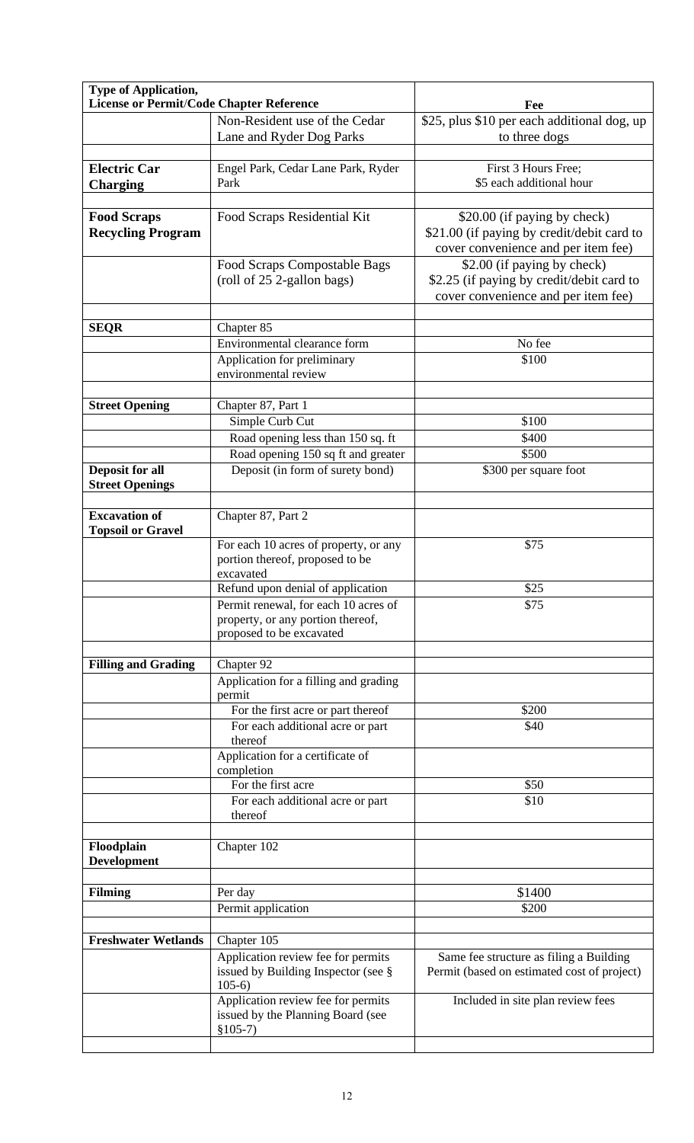| <b>Type of Application,</b><br>License or Permit/Code Chapter Reference |                                                                          |                                             |
|-------------------------------------------------------------------------|--------------------------------------------------------------------------|---------------------------------------------|
|                                                                         |                                                                          | Fee                                         |
|                                                                         | Non-Resident use of the Cedar                                            | \$25, plus \$10 per each additional dog, up |
|                                                                         | Lane and Ryder Dog Parks                                                 | to three dogs                               |
| <b>Electric Car</b>                                                     | Engel Park, Cedar Lane Park, Ryder                                       | First 3 Hours Free;                         |
| <b>Charging</b>                                                         | Park                                                                     | \$5 each additional hour                    |
|                                                                         |                                                                          |                                             |
| <b>Food Scraps</b>                                                      | Food Scraps Residential Kit                                              | \$20.00 (if paying by check)                |
| <b>Recycling Program</b>                                                |                                                                          | \$21.00 (if paying by credit/debit card to  |
|                                                                         |                                                                          | cover convenience and per item fee)         |
|                                                                         | Food Scraps Compostable Bags                                             | \$2.00 (if paying by check)                 |
|                                                                         | (roll of 25 2-gallon bags)                                               | \$2.25 (if paying by credit/debit card to   |
|                                                                         |                                                                          | cover convenience and per item fee)         |
|                                                                         |                                                                          |                                             |
| <b>SEQR</b>                                                             | Chapter 85                                                               |                                             |
|                                                                         | Environmental clearance form                                             | No fee                                      |
|                                                                         | Application for preliminary                                              | \$100                                       |
|                                                                         | environmental review                                                     |                                             |
|                                                                         |                                                                          |                                             |
| <b>Street Opening</b>                                                   | Chapter 87, Part 1                                                       |                                             |
|                                                                         | Simple Curb Cut                                                          | \$100                                       |
|                                                                         | Road opening less than 150 sq. ft                                        | \$400                                       |
|                                                                         | Road opening 150 sq ft and greater                                       | \$500                                       |
| Deposit for all                                                         | Deposit (in form of surety bond)                                         | \$300 per square foot                       |
| <b>Street Openings</b>                                                  |                                                                          |                                             |
|                                                                         |                                                                          |                                             |
| <b>Excavation of</b>                                                    | Chapter 87, Part 2                                                       |                                             |
| <b>Topsoil or Gravel</b>                                                |                                                                          |                                             |
|                                                                         | For each 10 acres of property, or any<br>portion thereof, proposed to be | \$75                                        |
|                                                                         | excavated                                                                |                                             |
|                                                                         | Refund upon denial of application                                        | \$25                                        |
|                                                                         | Permit renewal, for each 10 acres of                                     | \$75                                        |
|                                                                         | property, or any portion thereof,                                        |                                             |
|                                                                         | proposed to be excavated                                                 |                                             |
|                                                                         |                                                                          |                                             |
| <b>Filling and Grading</b>                                              | Chapter 92                                                               |                                             |
|                                                                         | Application for a filling and grading                                    |                                             |
|                                                                         | permit                                                                   |                                             |
|                                                                         | For the first acre or part thereof                                       | \$200                                       |
|                                                                         | For each additional acre or part<br>thereof                              | \$40                                        |
|                                                                         | Application for a certificate of                                         |                                             |
|                                                                         | completion                                                               |                                             |
|                                                                         | For the first acre                                                       | \$50                                        |
|                                                                         | For each additional acre or part                                         | \$10                                        |
|                                                                         | thereof                                                                  |                                             |
|                                                                         |                                                                          |                                             |
| Floodplain                                                              | Chapter 102                                                              |                                             |
| <b>Development</b>                                                      |                                                                          |                                             |
|                                                                         |                                                                          |                                             |
| <b>Filming</b>                                                          | Per day                                                                  | \$1400<br>\$200                             |
|                                                                         | Permit application                                                       |                                             |
| <b>Freshwater Wetlands</b>                                              | Chapter 105                                                              |                                             |
|                                                                         | Application review fee for permits                                       | Same fee structure as filing a Building     |
|                                                                         | issued by Building Inspector (see §                                      | Permit (based on estimated cost of project) |
|                                                                         | $105-6$                                                                  |                                             |
|                                                                         | Application review fee for permits                                       | Included in site plan review fees           |
|                                                                         | issued by the Planning Board (see                                        |                                             |
|                                                                         | $$105-7)$                                                                |                                             |
|                                                                         |                                                                          |                                             |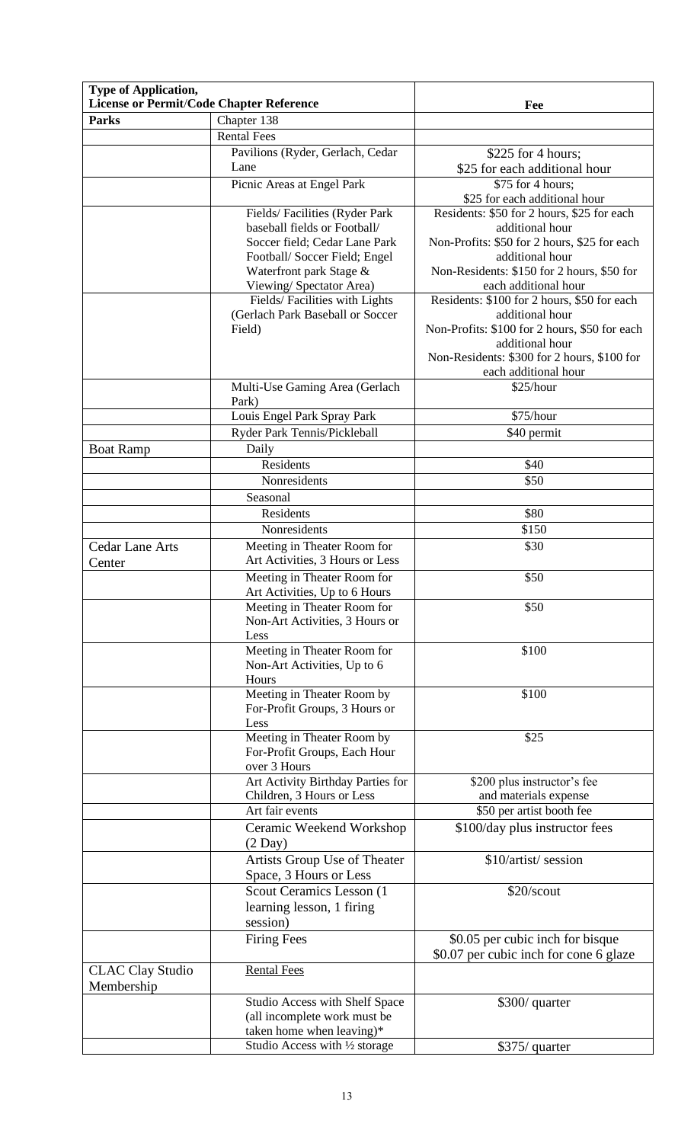| <b>Type of Application,</b><br><b>License or Permit/Code Chapter Reference</b> |                                                             | Fee                                                                 |
|--------------------------------------------------------------------------------|-------------------------------------------------------------|---------------------------------------------------------------------|
| <b>Parks</b>                                                                   | Chapter 138                                                 |                                                                     |
|                                                                                | <b>Rental Fees</b>                                          |                                                                     |
|                                                                                |                                                             |                                                                     |
|                                                                                | Pavilions (Ryder, Gerlach, Cedar<br>Lane                    | \$225 for 4 hours;<br>\$25 for each additional hour                 |
|                                                                                | Picnic Areas at Engel Park                                  | \$75 for 4 hours;<br>\$25 for each additional hour                  |
|                                                                                | Fields/Facilities (Ryder Park                               | Residents: \$50 for 2 hours, \$25 for each                          |
|                                                                                | baseball fields or Football/                                | additional hour                                                     |
|                                                                                | Soccer field; Cedar Lane Park                               | Non-Profits: \$50 for 2 hours, \$25 for each                        |
|                                                                                | Football/Soccer Field; Engel                                | additional hour                                                     |
|                                                                                | Waterfront park Stage &                                     | Non-Residents: \$150 for 2 hours, \$50 for                          |
|                                                                                | Viewing/ Spectator Area)                                    | each additional hour                                                |
|                                                                                | Fields/Facilities with Lights                               | Residents: \$100 for 2 hours, \$50 for each                         |
|                                                                                | (Gerlach Park Baseball or Soccer                            | additional hour                                                     |
|                                                                                | Field)                                                      | Non-Profits: \$100 for 2 hours, \$50 for each                       |
|                                                                                |                                                             | additional hour                                                     |
|                                                                                |                                                             | Non-Residents: \$300 for 2 hours, \$100 for<br>each additional hour |
|                                                                                | Multi-Use Gaming Area (Gerlach                              | \$25/hour                                                           |
|                                                                                | Park)                                                       |                                                                     |
|                                                                                | Louis Engel Park Spray Park                                 | \$75/hour                                                           |
|                                                                                | Ryder Park Tennis/Pickleball                                | \$40 permit                                                         |
| <b>Boat Ramp</b>                                                               | Daily                                                       |                                                                     |
|                                                                                | <b>Residents</b>                                            | \$40                                                                |
|                                                                                | Nonresidents                                                | \$50                                                                |
|                                                                                | Seasonal                                                    |                                                                     |
|                                                                                | Residents                                                   | \$80                                                                |
|                                                                                | Nonresidents                                                | \$150                                                               |
| <b>Cedar Lane Arts</b>                                                         | Meeting in Theater Room for                                 | \$30                                                                |
| Center                                                                         | Art Activities, 3 Hours or Less                             |                                                                     |
|                                                                                | Meeting in Theater Room for                                 | \$50                                                                |
|                                                                                | Art Activities, Up to 6 Hours                               |                                                                     |
|                                                                                | Meeting in Theater Room for                                 | \$50                                                                |
|                                                                                | Non-Art Activities, 3 Hours or                              |                                                                     |
|                                                                                | Less                                                        |                                                                     |
|                                                                                | Meeting in Theater Room for                                 | \$100                                                               |
|                                                                                | Non-Art Activities, Up to 6                                 |                                                                     |
|                                                                                | Hours                                                       |                                                                     |
|                                                                                | Meeting in Theater Room by                                  | \$100                                                               |
|                                                                                | For-Profit Groups, 3 Hours or<br>Less                       |                                                                     |
|                                                                                | Meeting in Theater Room by                                  | \$25                                                                |
|                                                                                | For-Profit Groups, Each Hour                                |                                                                     |
|                                                                                | over 3 Hours                                                |                                                                     |
|                                                                                | Art Activity Birthday Parties for                           | \$200 plus instructor's fee                                         |
|                                                                                | Children, 3 Hours or Less                                   | and materials expense                                               |
|                                                                                | Art fair events                                             | \$50 per artist booth fee                                           |
|                                                                                | Ceramic Weekend Workshop<br>$(2 \text{ Day})$               | \$100/day plus instructor fees                                      |
|                                                                                | Artists Group Use of Theater                                | \$10/artist/session                                                 |
|                                                                                | Space, 3 Hours or Less                                      |                                                                     |
|                                                                                | Scout Ceramics Lesson (1                                    | \$20/scout                                                          |
|                                                                                | learning lesson, 1 firing                                   |                                                                     |
|                                                                                | session)                                                    |                                                                     |
|                                                                                | <b>Firing Fees</b>                                          | \$0.05 per cubic inch for bisque                                    |
|                                                                                |                                                             | \$0.07 per cubic inch for cone 6 glaze                              |
| <b>CLAC Clay Studio</b>                                                        | <b>Rental Fees</b>                                          |                                                                     |
| Membership                                                                     |                                                             |                                                                     |
|                                                                                | Studio Access with Shelf Space                              | \$300/ quarter                                                      |
|                                                                                | (all incomplete work must be                                |                                                                     |
|                                                                                | taken home when leaving)*<br>Studio Access with 1/2 storage | \$375/ quarter                                                      |
|                                                                                |                                                             |                                                                     |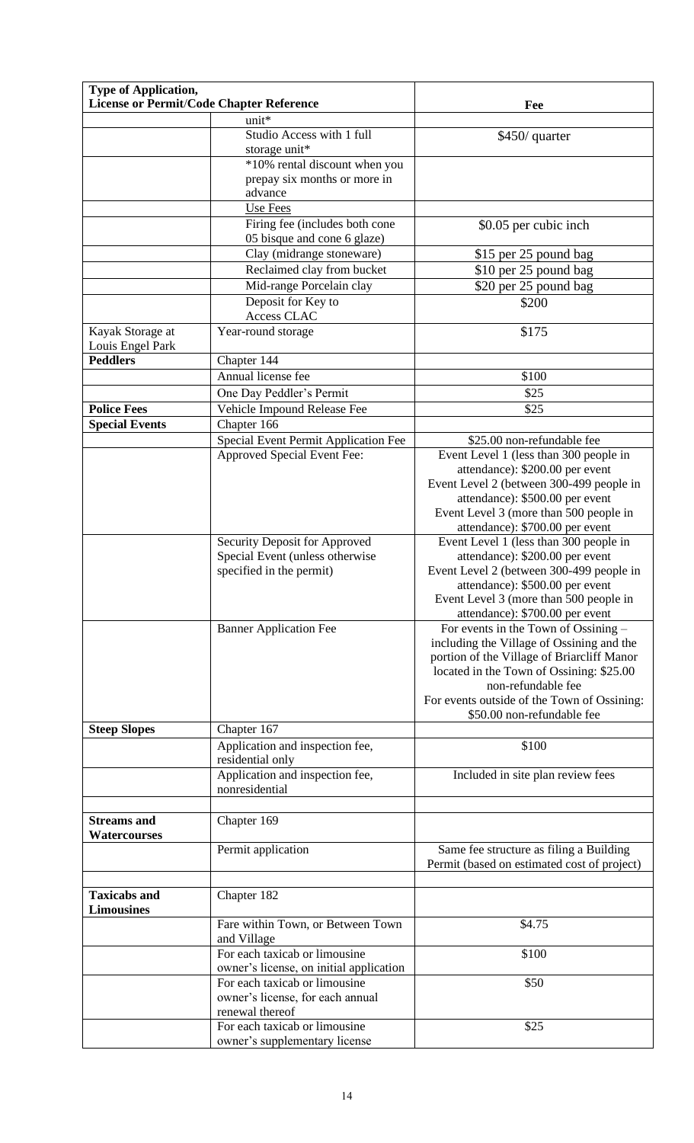| <b>Type of Application,</b>              |                                                                          |                                                                           |
|------------------------------------------|--------------------------------------------------------------------------|---------------------------------------------------------------------------|
| License or Permit/Code Chapter Reference |                                                                          | Fee                                                                       |
|                                          | unit*<br>Studio Access with 1 full                                       | \$450/ quarter                                                            |
|                                          | storage unit*                                                            |                                                                           |
|                                          | *10% rental discount when you                                            |                                                                           |
|                                          | prepay six months or more in                                             |                                                                           |
|                                          | advance                                                                  |                                                                           |
|                                          | Use Fees                                                                 |                                                                           |
|                                          | Firing fee (includes both cone<br>05 bisque and cone 6 glaze)            | \$0.05 per cubic inch                                                     |
|                                          | Clay (midrange stoneware)                                                | \$15 per 25 pound bag                                                     |
|                                          | Reclaimed clay from bucket                                               | \$10 per 25 pound bag                                                     |
|                                          | Mid-range Porcelain clay                                                 | \$20 per 25 pound bag                                                     |
|                                          | Deposit for Key to                                                       | \$200                                                                     |
|                                          | Access CLAC                                                              |                                                                           |
| Kayak Storage at                         | Year-round storage                                                       | \$175                                                                     |
| Louis Engel Park<br><b>Peddlers</b>      |                                                                          |                                                                           |
|                                          | Chapter 144<br>Annual license fee                                        | \$100                                                                     |
|                                          | One Day Peddler's Permit                                                 | \$25                                                                      |
| <b>Police Fees</b>                       | Vehicle Impound Release Fee                                              | \$25                                                                      |
| <b>Special Events</b>                    | Chapter 166                                                              |                                                                           |
|                                          | Special Event Permit Application Fee                                     | \$25.00 non-refundable fee                                                |
|                                          | Approved Special Event Fee:                                              | Event Level 1 (less than 300 people in                                    |
|                                          |                                                                          | attendance): \$200.00 per event                                           |
|                                          |                                                                          | Event Level 2 (between 300-499 people in                                  |
|                                          |                                                                          | attendance): \$500.00 per event<br>Event Level 3 (more than 500 people in |
|                                          |                                                                          | attendance): \$700.00 per event                                           |
|                                          | Security Deposit for Approved                                            | Event Level 1 (less than 300 people in                                    |
|                                          | Special Event (unless otherwise                                          | attendance): \$200.00 per event                                           |
|                                          | specified in the permit)                                                 | Event Level 2 (between 300-499 people in                                  |
|                                          |                                                                          | attendance): \$500.00 per event<br>Event Level 3 (more than 500 people in |
|                                          |                                                                          | attendance): \$700.00 per event                                           |
|                                          | <b>Banner Application Fee</b>                                            | For events in the Town of Ossining –                                      |
|                                          |                                                                          | including the Village of Ossining and the                                 |
|                                          |                                                                          | portion of the Village of Briarcliff Manor                                |
|                                          |                                                                          | located in the Town of Ossining: \$25.00<br>non-refundable fee            |
|                                          |                                                                          | For events outside of the Town of Ossining:                               |
|                                          |                                                                          | \$50.00 non-refundable fee                                                |
| <b>Steep Slopes</b>                      | Chapter 167                                                              |                                                                           |
|                                          | Application and inspection fee,                                          | \$100                                                                     |
|                                          | residential only                                                         |                                                                           |
|                                          | Application and inspection fee,<br>nonresidential                        | Included in site plan review fees                                         |
|                                          |                                                                          |                                                                           |
| <b>Streams</b> and                       | Chapter 169                                                              |                                                                           |
| <b>Watercourses</b>                      |                                                                          |                                                                           |
|                                          | Permit application                                                       | Same fee structure as filing a Building                                   |
|                                          |                                                                          | Permit (based on estimated cost of project)                               |
| <b>Taxicabs and</b>                      | Chapter 182                                                              |                                                                           |
| <b>Limousines</b>                        |                                                                          |                                                                           |
|                                          | Fare within Town, or Between Town                                        | \$4.75                                                                    |
|                                          | and Village                                                              |                                                                           |
|                                          | For each taxicab or limousine                                            | \$100                                                                     |
|                                          | owner's license, on initial application<br>For each taxicab or limousine |                                                                           |
|                                          | owner's license, for each annual                                         | \$50                                                                      |
|                                          | renewal thereof                                                          |                                                                           |
|                                          | For each taxicab or limousine                                            | \$25                                                                      |
|                                          | owner's supplementary license                                            |                                                                           |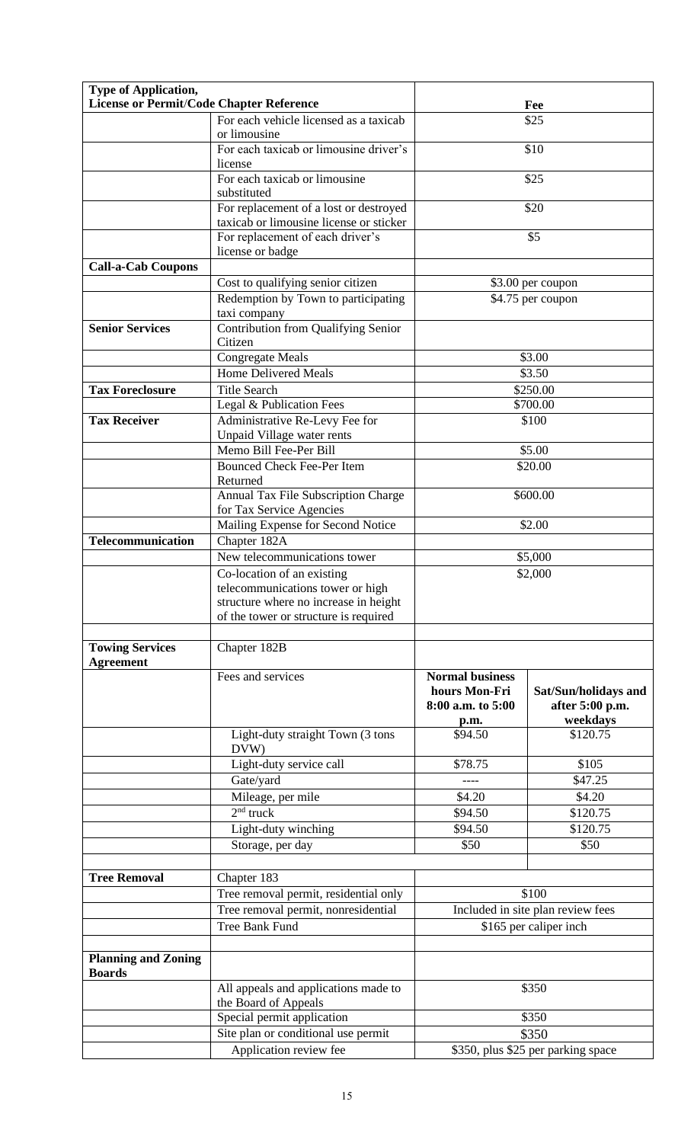| Type of Application,                        |                                                                             |                                                              |                                                     |
|---------------------------------------------|-----------------------------------------------------------------------------|--------------------------------------------------------------|-----------------------------------------------------|
| License or Permit/Code Chapter Reference    |                                                                             |                                                              | Fee                                                 |
|                                             | For each vehicle licensed as a taxicab                                      |                                                              | \$25                                                |
|                                             | or limousine                                                                |                                                              |                                                     |
|                                             | For each taxicab or limousine driver's<br>license                           |                                                              | \$10                                                |
|                                             | For each taxicab or limousine<br>substituted                                |                                                              | \$25                                                |
|                                             | For replacement of a lost or destroyed                                      |                                                              | \$20                                                |
|                                             | taxicab or limousine license or sticker<br>For replacement of each driver's |                                                              | \$5                                                 |
|                                             | license or badge                                                            |                                                              |                                                     |
| <b>Call-a-Cab Coupons</b>                   |                                                                             |                                                              |                                                     |
|                                             | Cost to qualifying senior citizen<br>Redemption by Town to participating    |                                                              | \$3.00 per coupon<br>\$4.75 per coupon              |
|                                             | taxi company                                                                |                                                              |                                                     |
| <b>Senior Services</b>                      | Contribution from Qualifying Senior<br>Citizen                              |                                                              |                                                     |
|                                             | <b>Congregate Meals</b>                                                     |                                                              | \$3.00                                              |
|                                             | <b>Home Delivered Meals</b>                                                 |                                                              | \$3.50                                              |
| <b>Tax Foreclosure</b>                      | <b>Title Search</b>                                                         |                                                              | \$250.00                                            |
|                                             | Legal & Publication Fees                                                    |                                                              | \$700.00                                            |
| <b>Tax Receiver</b>                         | Administrative Re-Levy Fee for<br>Unpaid Village water rents                |                                                              | \$100                                               |
|                                             | Memo Bill Fee-Per Bill                                                      |                                                              | \$5.00                                              |
|                                             | <b>Bounced Check Fee-Per Item</b><br>Returned                               |                                                              | \$20.00                                             |
|                                             | Annual Tax File Subscription Charge<br>for Tax Service Agencies             |                                                              | \$600.00                                            |
|                                             | Mailing Expense for Second Notice                                           |                                                              | \$2.00                                              |
| <b>Telecommunication</b>                    | Chapter 182A                                                                |                                                              |                                                     |
|                                             | New telecommunications tower                                                |                                                              | \$5,000                                             |
|                                             | Co-location of an existing                                                  |                                                              | \$2,000                                             |
|                                             | telecommunications tower or high                                            |                                                              |                                                     |
|                                             | structure where no increase in height                                       |                                                              |                                                     |
|                                             | of the tower or structure is required                                       |                                                              |                                                     |
| <b>Towing Services</b>                      | Chapter 182B                                                                |                                                              |                                                     |
| <b>Agreement</b>                            |                                                                             |                                                              |                                                     |
|                                             | Fees and services                                                           | <b>Normal business</b><br>hours Mon-Fri<br>8:00 a.m. to 5:00 | Sat/Sun/holidays and<br>after 5:00 p.m.<br>weekdays |
|                                             | Light-duty straight Town (3 tons                                            | p.m.<br>\$94.50                                              | \$120.75                                            |
|                                             | DVW)                                                                        |                                                              |                                                     |
|                                             | Light-duty service call                                                     | \$78.75                                                      | \$105                                               |
|                                             | Gate/yard                                                                   | ----                                                         | \$47.25                                             |
|                                             | Mileage, per mile                                                           | \$4.20                                                       | \$4.20                                              |
|                                             | $2nd$ truck                                                                 | \$94.50                                                      | \$120.75                                            |
|                                             | Light-duty winching                                                         | \$94.50<br>\$50                                              | \$120.75<br>\$50                                    |
|                                             | Storage, per day                                                            |                                                              |                                                     |
| <b>Tree Removal</b>                         | Chapter 183                                                                 |                                                              |                                                     |
|                                             | Tree removal permit, residential only                                       |                                                              | \$100                                               |
|                                             | Tree removal permit, nonresidential                                         |                                                              | Included in site plan review fees                   |
|                                             | Tree Bank Fund                                                              |                                                              | \$165 per caliper inch                              |
|                                             |                                                                             |                                                              |                                                     |
| <b>Planning and Zoning</b><br><b>Boards</b> |                                                                             |                                                              |                                                     |
|                                             | All appeals and applications made to<br>the Board of Appeals                |                                                              | \$350                                               |
|                                             | Special permit application                                                  |                                                              | \$350                                               |
|                                             | Site plan or conditional use permit                                         |                                                              | \$350                                               |
|                                             | Application review fee                                                      |                                                              | \$350, plus \$25 per parking space                  |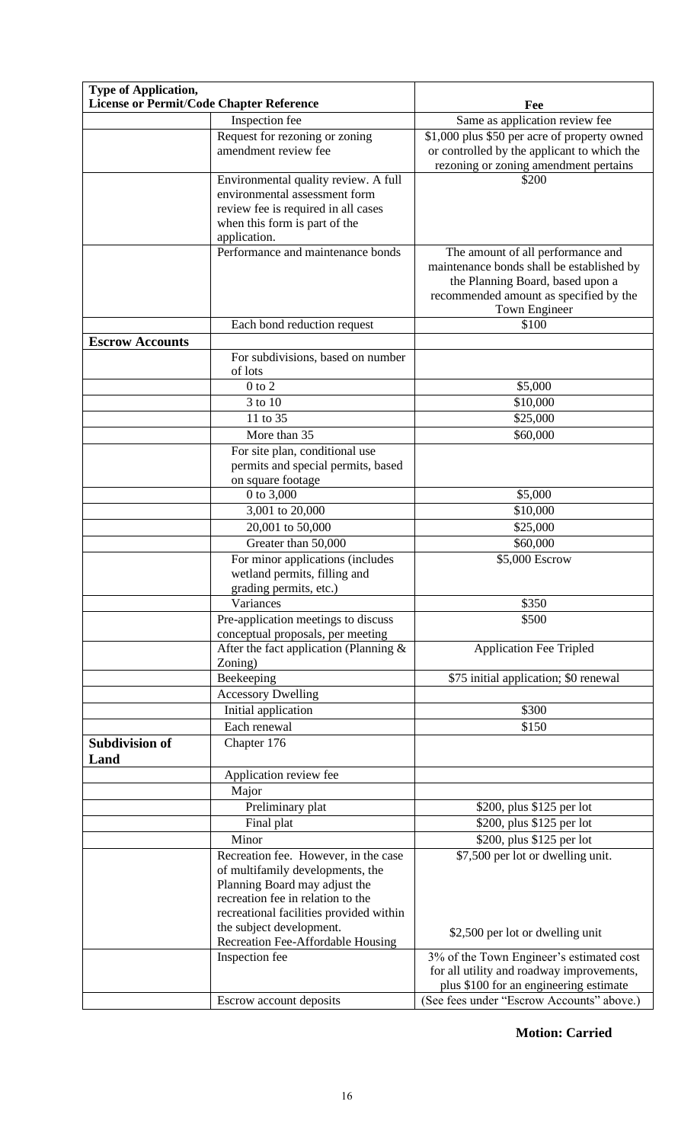| <b>Type of Application,</b><br>License or Permit/Code Chapter Reference |                                                                                                                                                                                                                       |                                                                                                                                                                               |
|-------------------------------------------------------------------------|-----------------------------------------------------------------------------------------------------------------------------------------------------------------------------------------------------------------------|-------------------------------------------------------------------------------------------------------------------------------------------------------------------------------|
|                                                                         |                                                                                                                                                                                                                       | Fee                                                                                                                                                                           |
|                                                                         | Inspection fee<br>Request for rezoning or zoning                                                                                                                                                                      | Same as application review fee<br>\$1,000 plus \$50 per acre of property owned                                                                                                |
|                                                                         | amendment review fee                                                                                                                                                                                                  | or controlled by the applicant to which the<br>rezoning or zoning amendment pertains                                                                                          |
|                                                                         | Environmental quality review. A full                                                                                                                                                                                  | \$200                                                                                                                                                                         |
|                                                                         | environmental assessment form                                                                                                                                                                                         |                                                                                                                                                                               |
|                                                                         | review fee is required in all cases<br>when this form is part of the<br>application.                                                                                                                                  |                                                                                                                                                                               |
|                                                                         | Performance and maintenance bonds                                                                                                                                                                                     | The amount of all performance and<br>maintenance bonds shall be established by<br>the Planning Board, based upon a<br>recommended amount as specified by the<br>Town Engineer |
|                                                                         | Each bond reduction request                                                                                                                                                                                           | \$100                                                                                                                                                                         |
| <b>Escrow Accounts</b>                                                  |                                                                                                                                                                                                                       |                                                                                                                                                                               |
|                                                                         | For subdivisions, based on number<br>of lots                                                                                                                                                                          |                                                                                                                                                                               |
|                                                                         | $0$ to $2$                                                                                                                                                                                                            | \$5,000                                                                                                                                                                       |
|                                                                         | 3 to 10                                                                                                                                                                                                               | \$10,000                                                                                                                                                                      |
|                                                                         | 11 to 35                                                                                                                                                                                                              | \$25,000                                                                                                                                                                      |
|                                                                         | More than 35                                                                                                                                                                                                          | \$60,000                                                                                                                                                                      |
|                                                                         | For site plan, conditional use<br>permits and special permits, based<br>on square footage                                                                                                                             |                                                                                                                                                                               |
|                                                                         | 0 to 3,000                                                                                                                                                                                                            | \$5,000                                                                                                                                                                       |
|                                                                         | 3,001 to 20,000                                                                                                                                                                                                       | \$10,000                                                                                                                                                                      |
|                                                                         | 20,001 to 50,000                                                                                                                                                                                                      | \$25,000                                                                                                                                                                      |
|                                                                         | Greater than 50,000                                                                                                                                                                                                   | \$60,000                                                                                                                                                                      |
|                                                                         | For minor applications (includes<br>wetland permits, filling and<br>grading permits, etc.)                                                                                                                            | \$5,000 Escrow                                                                                                                                                                |
|                                                                         | Variances                                                                                                                                                                                                             | \$350                                                                                                                                                                         |
|                                                                         | Pre-application meetings to discuss                                                                                                                                                                                   | \$500                                                                                                                                                                         |
|                                                                         | conceptual proposals, per meeting<br>After the fact application (Planning &                                                                                                                                           | <b>Application Fee Tripled</b>                                                                                                                                                |
|                                                                         | Zoning)                                                                                                                                                                                                               |                                                                                                                                                                               |
|                                                                         | Beekeeping                                                                                                                                                                                                            | \$75 initial application; \$0 renewal                                                                                                                                         |
|                                                                         | <b>Accessory Dwelling</b>                                                                                                                                                                                             |                                                                                                                                                                               |
|                                                                         | Initial application                                                                                                                                                                                                   | \$300                                                                                                                                                                         |
| <b>Subdivision of</b><br>Land                                           | Each renewal<br>Chapter 176                                                                                                                                                                                           | \$150                                                                                                                                                                         |
|                                                                         | Application review fee                                                                                                                                                                                                |                                                                                                                                                                               |
|                                                                         | Major                                                                                                                                                                                                                 |                                                                                                                                                                               |
|                                                                         | Preliminary plat                                                                                                                                                                                                      | \$200, plus \$125 per lot                                                                                                                                                     |
|                                                                         | Final plat                                                                                                                                                                                                            | \$200, plus \$125 per lot                                                                                                                                                     |
|                                                                         | Minor                                                                                                                                                                                                                 | \$200, plus \$125 per lot                                                                                                                                                     |
|                                                                         | Recreation fee. However, in the case<br>of multifamily developments, the<br>Planning Board may adjust the<br>recreation fee in relation to the<br>recreational facilities provided within<br>the subject development. | \$7,500 per lot or dwelling unit.<br>\$2,500 per lot or dwelling unit                                                                                                         |
|                                                                         | Recreation Fee-Affordable Housing                                                                                                                                                                                     |                                                                                                                                                                               |
|                                                                         | Inspection fee                                                                                                                                                                                                        | 3% of the Town Engineer's estimated cost<br>for all utility and roadway improvements,<br>plus \$100 for an engineering estimate                                               |
|                                                                         | Escrow account deposits                                                                                                                                                                                               | (See fees under "Escrow Accounts" above.)                                                                                                                                     |

**Motion: Carried**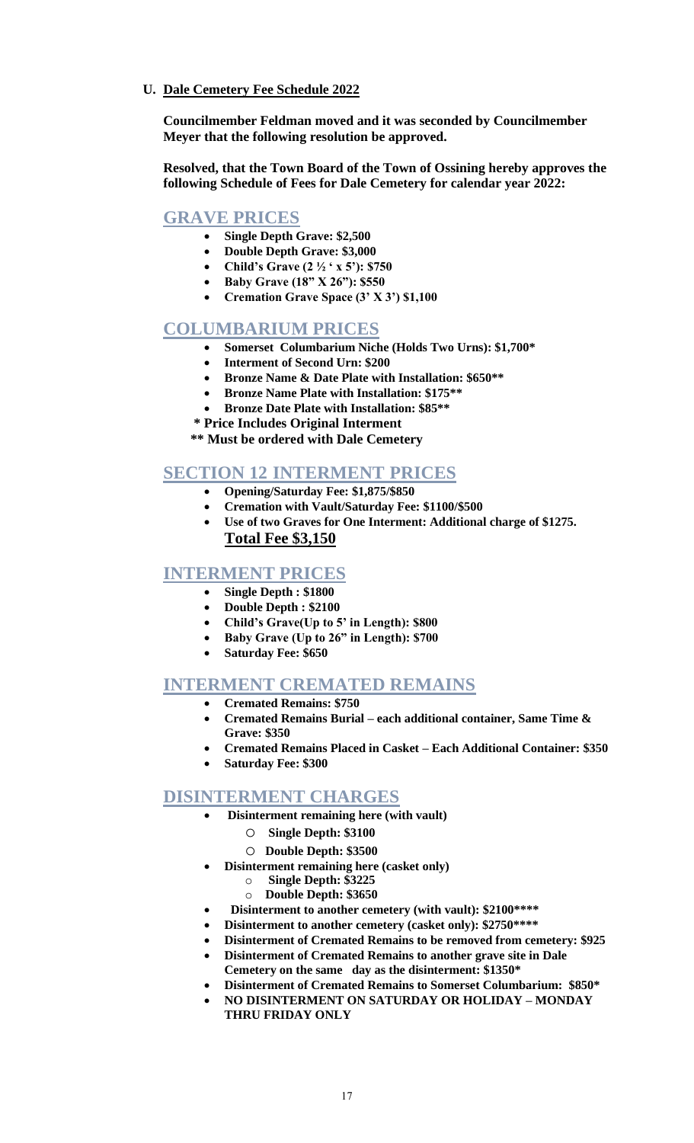**U. Dale Cemetery Fee Schedule 2022**

**Councilmember Feldman moved and it was seconded by Councilmember Meyer that the following resolution be approved.**

**Resolved, that the Town Board of the Town of Ossining hereby approves the following Schedule of Fees for Dale Cemetery for calendar year 2022:**

# **GRAVE PRICES**

- **Single Depth Grave: \$2,500**
- **Double Depth Grave: \$3,000**
- **Child's Grave (2 ½ ' x 5'): \$750**
- **Baby Grave (18" X 26"): \$550**
- **Cremation Grave Space (3' X 3') \$1,100**

# **COLUMBARIUM PRICES**

- **Somerset Columbarium Niche (Holds Two Urns): \$1,700\***
- **Interment of Second Urn: \$200**
- **Bronze Name & Date Plate with Installation: \$650\*\***
- **Bronze Name Plate with Installation: \$175\*\***
- **Bronze Date Plate with Installation: \$85\*\***
- **\* Price Includes Original Interment**
- **\*\* Must be ordered with Dale Cemetery**

# **SECTION 12 INTERMENT PRICES**

- **Opening/Saturday Fee: \$1,875/\$850**
- **Cremation with Vault/Saturday Fee: \$1100/\$500**
- **Use of two Graves for One Interment: Additional charge of \$1275. Total Fee \$3,150**

# **INTERMENT PRICES**

- **Single Depth : \$1800**
- **Double Depth : \$2100**
- **Child's Grave(Up to 5' in Length): \$800**
- **Baby Grave (Up to 26" in Length): \$700**
- **Saturday Fee: \$650**

# **INTERMENT CREMATED REMAINS**

- **Cremated Remains: \$750**
	- **Cremated Remains Burial – each additional container, Same Time & Grave: \$350**
	- **Cremated Remains Placed in Casket – Each Additional Container: \$350**
	- **Saturday Fee: \$300**

# **DISINTERMENT CHARGES**

- **Disinterment remaining here (with vault)**
	- o **Single Depth: \$3100**
	- o **Double Depth: \$3500**
- **Disinterment remaining here (casket only)**
	- o **Single Depth: \$3225**
	- o **Double Depth: \$3650**
- • **Disinterment to another cemetery (with vault): \$2100\*\*\*\***
- **Disinterment to another cemetery (casket only): \$2750\*\*\*\***
- **Disinterment of Cremated Remains to be removed from cemetery: \$925**
- **Disinterment of Cremated Remains to another grave site in Dale Cemetery on the same day as the disinterment: \$1350\***
- **Disinterment of Cremated Remains to Somerset Columbarium: \$850\***
- **NO DISINTERMENT ON SATURDAY OR HOLIDAY – MONDAY THRU FRIDAY ONLY**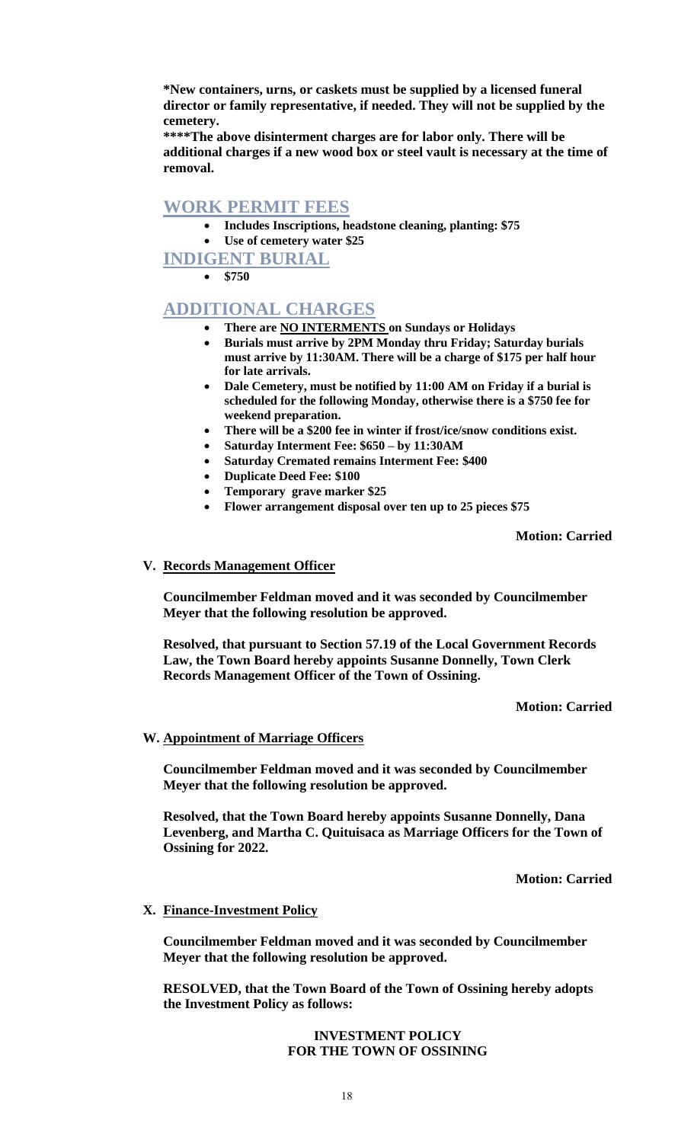**\*New containers, urns, or caskets must be supplied by a licensed funeral director or family representative, if needed. They will not be supplied by the cemetery.** 

**\*\*\*\*The above disinterment charges are for labor only. There will be additional charges if a new wood box or steel vault is necessary at the time of removal.**

# **WORK PERMIT FEES**

• **Includes Inscriptions, headstone cleaning, planting: \$75** • **Use of cemetery water \$25**

**INDIGENT BURIAL**

• **\$750**

# **ADDITIONAL CHARGES**

- **There are NO INTERMENTS on Sundays or Holidays**
- **Burials must arrive by 2PM Monday thru Friday; Saturday burials must arrive by 11:30AM. There will be a charge of \$175 per half hour for late arrivals.**
- **Dale Cemetery, must be notified by 11:00 AM on Friday if a burial is scheduled for the following Monday, otherwise there is a \$750 fee for weekend preparation.**
- **There will be a \$200 fee in winter if frost/ice/snow conditions exist.**
- **Saturday Interment Fee: \$650 – by 11:30AM**
- **Saturday Cremated remains Interment Fee: \$400**
- **Duplicate Deed Fee: \$100**
- **Temporary grave marker \$25**
- **Flower arrangement disposal over ten up to 25 pieces \$75**

**Motion: Carried**

### **V. Records Management Officer**

**Councilmember Feldman moved and it was seconded by Councilmember Meyer that the following resolution be approved.**

**Resolved, that pursuant to Section 57.19 of the Local Government Records Law, the Town Board hereby appoints Susanne Donnelly, Town Clerk Records Management Officer of the Town of Ossining.**

### **Motion: Carried**

# **W. Appointment of Marriage Officers**

**Councilmember Feldman moved and it was seconded by Councilmember Meyer that the following resolution be approved.**

**Resolved, that the Town Board hereby appoints Susanne Donnelly, Dana Levenberg, and Martha C. Quituisaca as Marriage Officers for the Town of Ossining for 2022.**

**Motion: Carried**

# **X. Finance-Investment Policy**

**Councilmember Feldman moved and it was seconded by Councilmember Meyer that the following resolution be approved.**

**RESOLVED, that the Town Board of the Town of Ossining hereby adopts the Investment Policy as follows:**

### **INVESTMENT POLICY FOR THE TOWN OF OSSINING**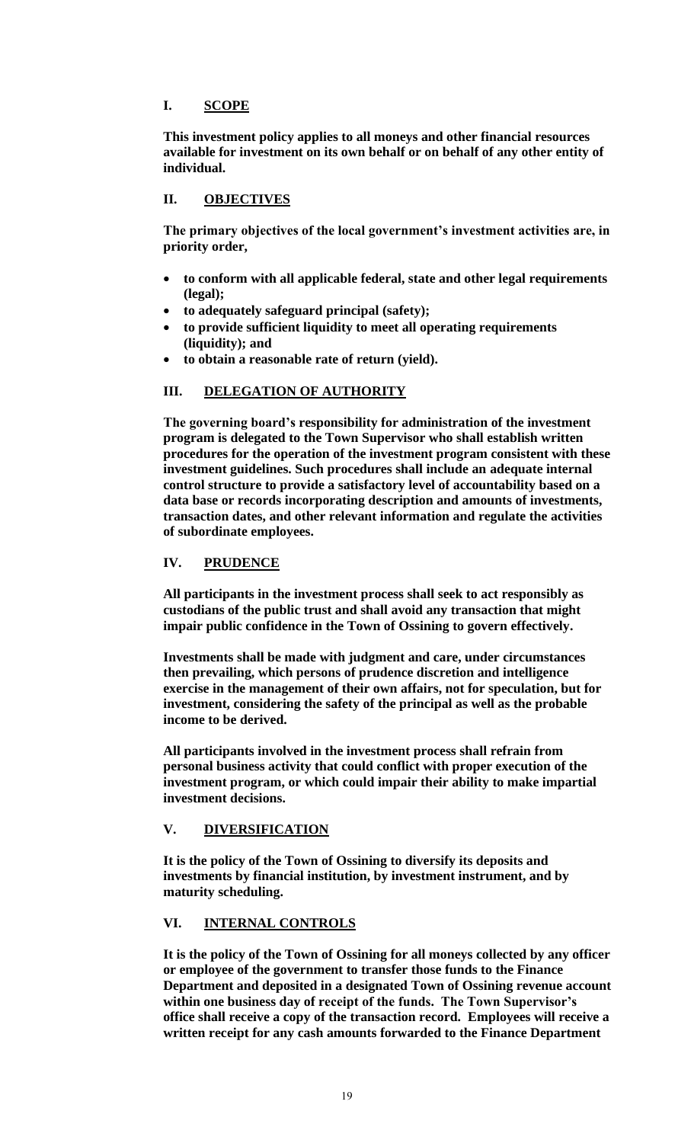# **I. SCOPE**

**This investment policy applies to all moneys and other financial resources available for investment on its own behalf or on behalf of any other entity of individual.**

# **II. OBJECTIVES**

**The primary objectives of the local government's investment activities are, in priority order,**

- **to conform with all applicable federal, state and other legal requirements (legal);**
- **to adequately safeguard principal (safety);**
- **to provide sufficient liquidity to meet all operating requirements (liquidity); and**
- **to obtain a reasonable rate of return (yield).**

# **III. DELEGATION OF AUTHORITY**

**The governing board's responsibility for administration of the investment program is delegated to the Town Supervisor who shall establish written procedures for the operation of the investment program consistent with these investment guidelines. Such procedures shall include an adequate internal control structure to provide a satisfactory level of accountability based on a data base or records incorporating description and amounts of investments, transaction dates, and other relevant information and regulate the activities of subordinate employees.**

# **IV. PRUDENCE**

**All participants in the investment process shall seek to act responsibly as custodians of the public trust and shall avoid any transaction that might impair public confidence in the Town of Ossining to govern effectively.**

**Investments shall be made with judgment and care, under circumstances then prevailing, which persons of prudence discretion and intelligence exercise in the management of their own affairs, not for speculation, but for investment, considering the safety of the principal as well as the probable income to be derived.**

**All participants involved in the investment process shall refrain from personal business activity that could conflict with proper execution of the investment program, or which could impair their ability to make impartial investment decisions.**

# **V. DIVERSIFICATION**

**It is the policy of the Town of Ossining to diversify its deposits and investments by financial institution, by investment instrument, and by maturity scheduling.**

# **VI. INTERNAL CONTROLS**

**It is the policy of the Town of Ossining for all moneys collected by any officer or employee of the government to transfer those funds to the Finance Department and deposited in a designated Town of Ossining revenue account within one business day of receipt of the funds. The Town Supervisor's office shall receive a copy of the transaction record. Employees will receive a written receipt for any cash amounts forwarded to the Finance Department**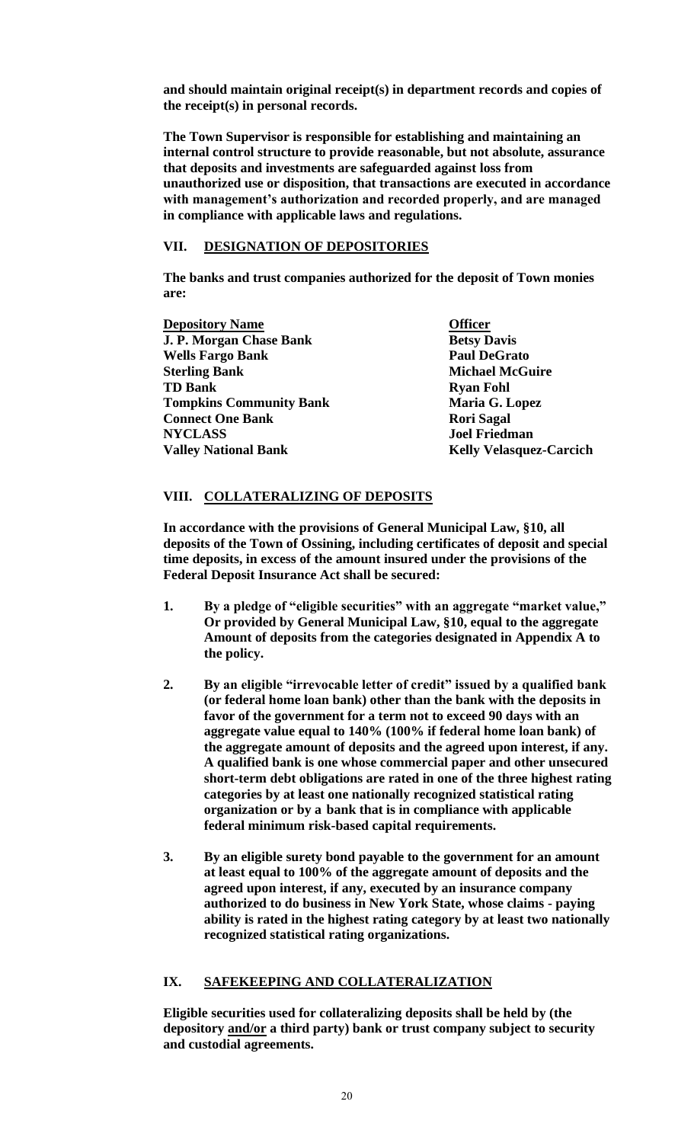**and should maintain original receipt(s) in department records and copies of the receipt(s) in personal records.**

**The Town Supervisor is responsible for establishing and maintaining an internal control structure to provide reasonable, but not absolute, assurance that deposits and investments are safeguarded against loss from unauthorized use or disposition, that transactions are executed in accordance with management's authorization and recorded properly, and are managed in compliance with applicable laws and regulations.**

# **VII. DESIGNATION OF DEPOSITORIES**

**The banks and trust companies authorized for the deposit of Town monies are:**

**Depository Name Officer J. P. Morgan Chase Bank Betsy Davis**<br> **Betsy Davis**<br> **Betsy Davis**<br> **Betsy Davis Wells Fargo Bank Sterling Bank Michael McGuire TD Bank Ryan Fohl Tompkins Community Bank Maria G. Lopez Connect One Bank Rori Sagal NYCLASS Joel Friedman Valley National Bank Kelly Velasquez-Carcich** 

# **VIII. COLLATERALIZING OF DEPOSITS**

**In accordance with the provisions of General Municipal Law, §10, all deposits of the Town of Ossining, including certificates of deposit and special time deposits, in excess of the amount insured under the provisions of the Federal Deposit Insurance Act shall be secured:**

- **1. By a pledge of "eligible securities" with an aggregate "market value," Or provided by General Municipal Law, §10, equal to the aggregate Amount of deposits from the categories designated in Appendix A to the policy.**
- **2. By an eligible "irrevocable letter of credit" issued by a qualified bank (or federal home loan bank) other than the bank with the deposits in favor of the government for a term not to exceed 90 days with an aggregate value equal to 140% (100% if federal home loan bank) of the aggregate amount of deposits and the agreed upon interest, if any. A qualified bank is one whose commercial paper and other unsecured short-term debt obligations are rated in one of the three highest rating categories by at least one nationally recognized statistical rating organization or by a bank that is in compliance with applicable federal minimum risk-based capital requirements.**
- **3. By an eligible surety bond payable to the government for an amount at least equal to 100% of the aggregate amount of deposits and the agreed upon interest, if any, executed by an insurance company authorized to do business in New York State, whose claims - paying ability is rated in the highest rating category by at least two nationally recognized statistical rating organizations.**

# **IX. SAFEKEEPING AND COLLATERALIZATION**

**Eligible securities used for collateralizing deposits shall be held by (the depository and/or a third party) bank or trust company subject to security and custodial agreements.**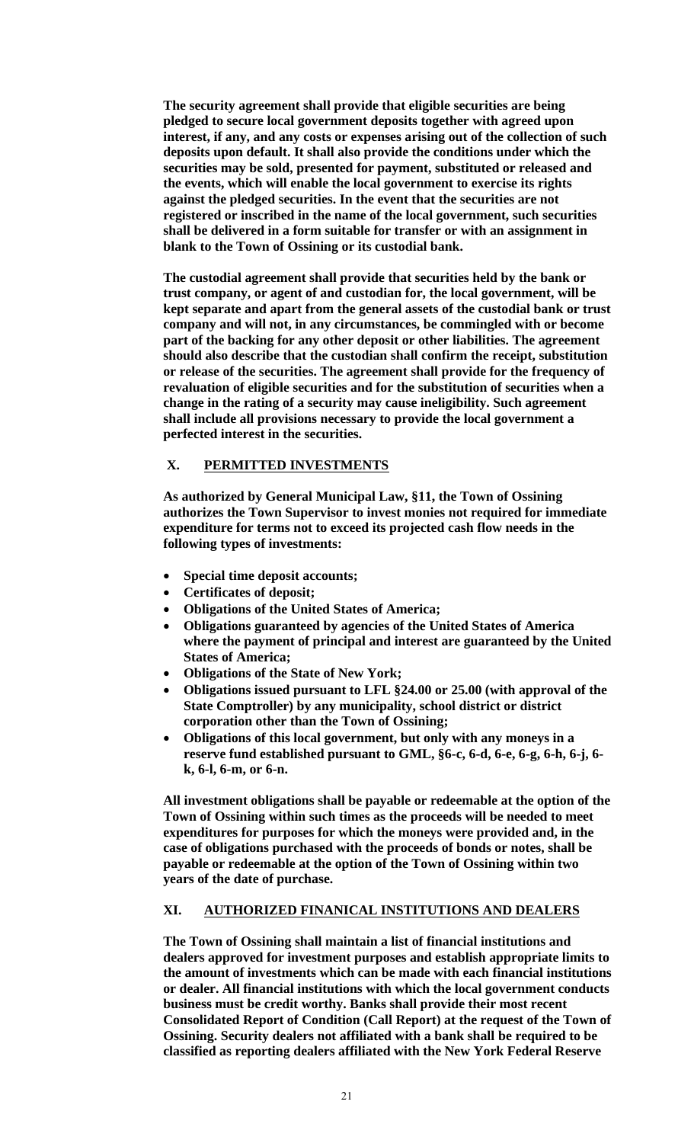**The security agreement shall provide that eligible securities are being pledged to secure local government deposits together with agreed upon interest, if any, and any costs or expenses arising out of the collection of such deposits upon default. It shall also provide the conditions under which the securities may be sold, presented for payment, substituted or released and the events, which will enable the local government to exercise its rights against the pledged securities. In the event that the securities are not registered or inscribed in the name of the local government, such securities shall be delivered in a form suitable for transfer or with an assignment in blank to the Town of Ossining or its custodial bank.**

**The custodial agreement shall provide that securities held by the bank or trust company, or agent of and custodian for, the local government, will be kept separate and apart from the general assets of the custodial bank or trust company and will not, in any circumstances, be commingled with or become part of the backing for any other deposit or other liabilities. The agreement should also describe that the custodian shall confirm the receipt, substitution or release of the securities. The agreement shall provide for the frequency of revaluation of eligible securities and for the substitution of securities when a change in the rating of a security may cause ineligibility. Such agreement shall include all provisions necessary to provide the local government a perfected interest in the securities.**

# **X. PERMITTED INVESTMENTS**

**As authorized by General Municipal Law, §11, the Town of Ossining authorizes the Town Supervisor to invest monies not required for immediate expenditure for terms not to exceed its projected cash flow needs in the following types of investments:**

- **Special time deposit accounts;**
- **Certificates of deposit;**
- **Obligations of the United States of America;**
- **Obligations guaranteed by agencies of the United States of America where the payment of principal and interest are guaranteed by the United States of America;**
- **Obligations of the State of New York;**
- **Obligations issued pursuant to LFL §24.00 or 25.00 (with approval of the State Comptroller) by any municipality, school district or district corporation other than the Town of Ossining;**
- **Obligations of this local government, but only with any moneys in a reserve fund established pursuant to GML, §6-c, 6-d, 6-e, 6-g, 6-h, 6-j, 6 k, 6-l, 6-m, or 6-n.**

**All investment obligations shall be payable or redeemable at the option of the Town of Ossining within such times as the proceeds will be needed to meet expenditures for purposes for which the moneys were provided and, in the case of obligations purchased with the proceeds of bonds or notes, shall be payable or redeemable at the option of the Town of Ossining within two years of the date of purchase.**

# **XI. AUTHORIZED FINANICAL INSTITUTIONS AND DEALERS**

**The Town of Ossining shall maintain a list of financial institutions and dealers approved for investment purposes and establish appropriate limits to the amount of investments which can be made with each financial institutions or dealer. All financial institutions with which the local government conducts business must be credit worthy. Banks shall provide their most recent Consolidated Report of Condition (Call Report) at the request of the Town of Ossining. Security dealers not affiliated with a bank shall be required to be classified as reporting dealers affiliated with the New York Federal Reserve**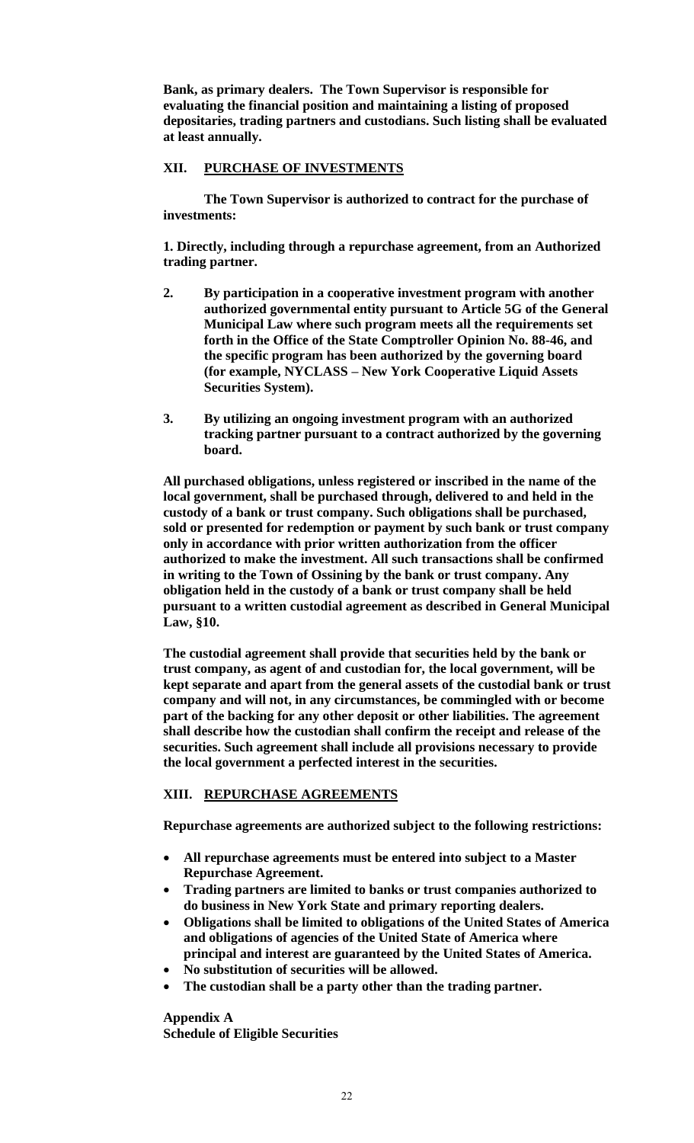**Bank, as primary dealers. The Town Supervisor is responsible for evaluating the financial position and maintaining a listing of proposed depositaries, trading partners and custodians. Such listing shall be evaluated at least annually.**

# **XII. PURCHASE OF INVESTMENTS**

**The Town Supervisor is authorized to contract for the purchase of investments:**

**1. Directly, including through a repurchase agreement, from an Authorized trading partner.**

- **2. By participation in a cooperative investment program with another authorized governmental entity pursuant to Article 5G of the General Municipal Law where such program meets all the requirements set forth in the Office of the State Comptroller Opinion No. 88-46, and the specific program has been authorized by the governing board (for example, NYCLASS – New York Cooperative Liquid Assets Securities System).**
- **3. By utilizing an ongoing investment program with an authorized tracking partner pursuant to a contract authorized by the governing board.**

**All purchased obligations, unless registered or inscribed in the name of the local government, shall be purchased through, delivered to and held in the custody of a bank or trust company. Such obligations shall be purchased, sold or presented for redemption or payment by such bank or trust company only in accordance with prior written authorization from the officer authorized to make the investment. All such transactions shall be confirmed in writing to the Town of Ossining by the bank or trust company. Any obligation held in the custody of a bank or trust company shall be held pursuant to a written custodial agreement as described in General Municipal Law, §10.**

**The custodial agreement shall provide that securities held by the bank or trust company, as agent of and custodian for, the local government, will be kept separate and apart from the general assets of the custodial bank or trust company and will not, in any circumstances, be commingled with or become part of the backing for any other deposit or other liabilities. The agreement shall describe how the custodian shall confirm the receipt and release of the securities. Such agreement shall include all provisions necessary to provide the local government a perfected interest in the securities.**

# **XIII. REPURCHASE AGREEMENTS**

**Repurchase agreements are authorized subject to the following restrictions:**

- **All repurchase agreements must be entered into subject to a Master Repurchase Agreement.**
- **Trading partners are limited to banks or trust companies authorized to do business in New York State and primary reporting dealers.**
- **Obligations shall be limited to obligations of the United States of America and obligations of agencies of the United State of America where principal and interest are guaranteed by the United States of America.**
- **No substitution of securities will be allowed.**
- **The custodian shall be a party other than the trading partner.**

**Appendix A Schedule of Eligible Securities**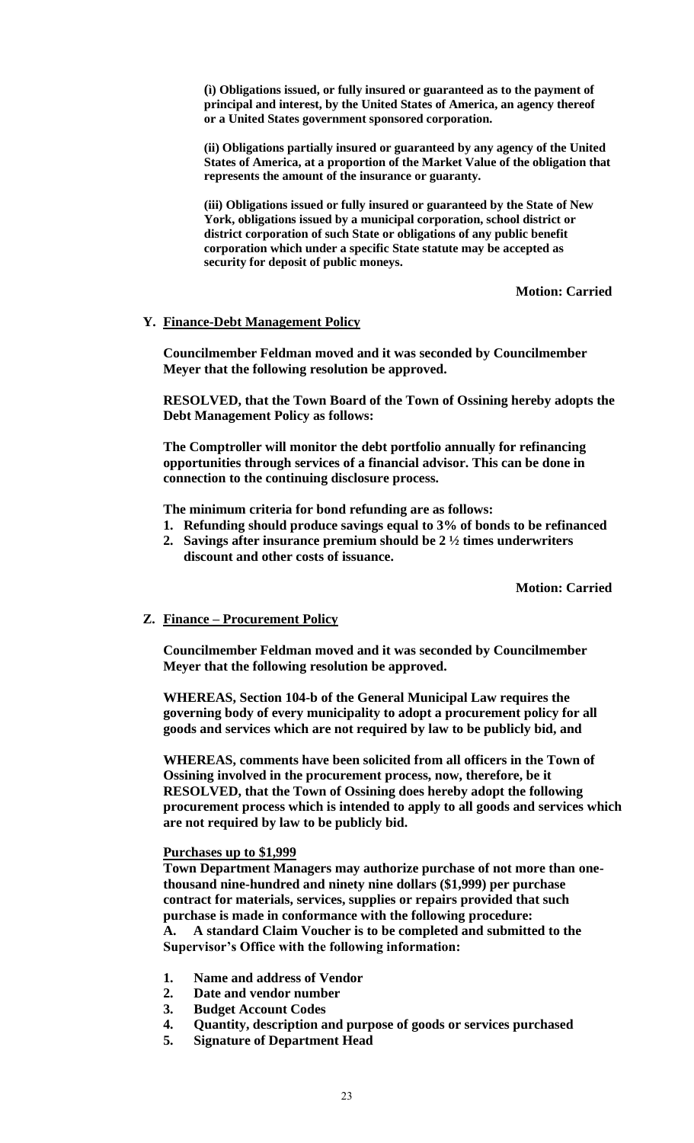**(ì) Obligations issued, or fully insured or guaranteed as to the payment of principal and interest, by the United States of America, an agency thereof or a United States government sponsored corporation.**

**(ii) Obligations partially insured or guaranteed by any agency of the United States of America, at a proportion of the Market Value of the obligation that represents the amount of the insurance or guaranty.**

**(iii) Obligations issued or fully insured or guaranteed by the State of New York, obligations issued by a municipal corporation, school district or district corporation of such State or obligations of any public benefit corporation which under a specific State statute may be accepted as security for deposit of public moneys.**

**Motion: Carried**

### **Y. Finance-Debt Management Policy**

**Councilmember Feldman moved and it was seconded by Councilmember Meyer that the following resolution be approved.**

**RESOLVED, that the Town Board of the Town of Ossining hereby adopts the Debt Management Policy as follows:**

**The Comptroller will monitor the debt portfolio annually for refinancing opportunities through services of a financial advisor. This can be done in connection to the continuing disclosure process.**

**The minimum criteria for bond refunding are as follows:**

- **1. Refunding should produce savings equal to 3% of bonds to be refinanced**
- **2. Savings after insurance premium should be 2 ½ times underwriters discount and other costs of issuance.**

**Motion: Carried**

### **Z. Finance – Procurement Policy**

**Councilmember Feldman moved and it was seconded by Councilmember Meyer that the following resolution be approved.**

**WHEREAS, Section 104-b of the General Municipal Law requires the governing body of every municipality to adopt a procurement policy for all goods and services which are not required by law to be publicly bid, and**

**WHEREAS, comments have been solicited from all officers in the Town of Ossining involved in the procurement process, now, therefore, be it RESOLVED, that the Town of Ossining does hereby adopt the following procurement process which is intended to apply to all goods and services which are not required by law to be publicly bid.**

### **Purchases up to \$1,999**

**Town Department Managers may authorize purchase of not more than onethousand nine-hundred and ninety nine dollars (\$1,999) per purchase contract for materials, services, supplies or repairs provided that such purchase is made in conformance with the following procedure: A. A standard Claim Voucher is to be completed and submitted to the Supervisor's Office with the following information:**

- **1. Name and address of Vendor**
- **2. Date and vendor number**
- **3. Budget Account Codes**
- **4. Quantity, description and purpose of goods or services purchased**
- **5. Signature of Department Head**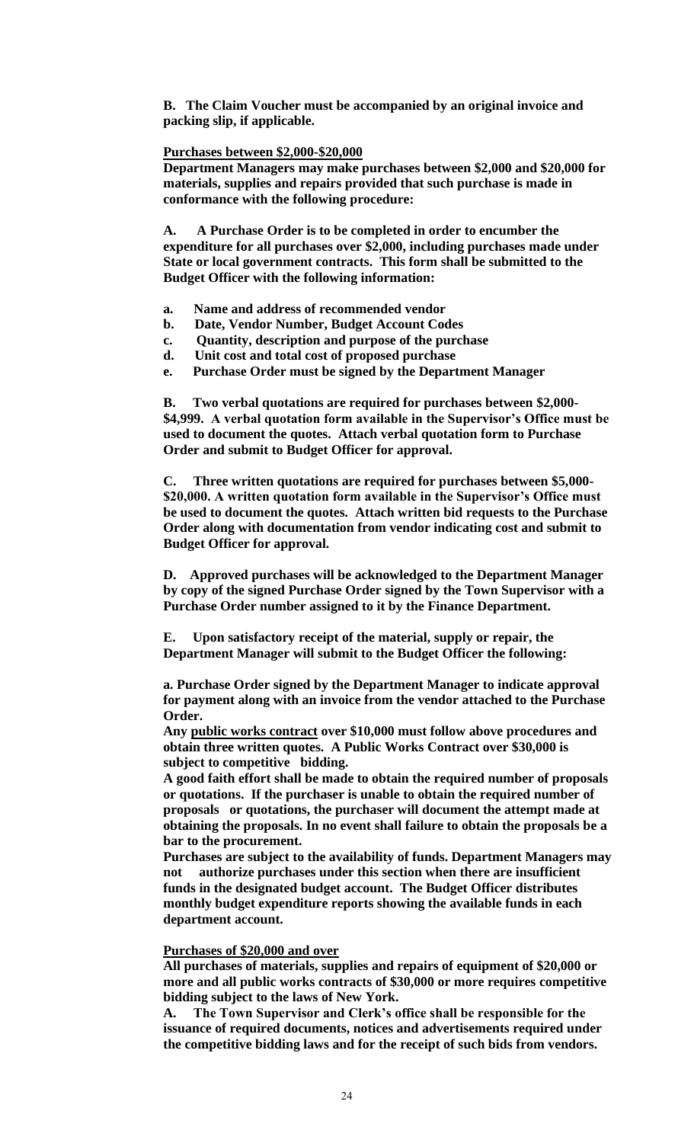**B. The Claim Voucher must be accompanied by an original invoice and packing slip, if applicable.**

### **Purchases between \$2,000-\$20,000**

**Department Managers may make purchases between \$2,000 and \$20,000 for materials, supplies and repairs provided that such purchase is made in conformance with the following procedure:**

**A. A Purchase Order is to be completed in order to encumber the expenditure for all purchases over \$2,000, including purchases made under State or local government contracts. This form shall be submitted to the Budget Officer with the following information:**

- **a. Name and address of recommended vendor**
- **b. Date, Vendor Number, Budget Account Codes**
- **c. Quantity, description and purpose of the purchase**
- **d. Unit cost and total cost of proposed purchase**
- **e. Purchase Order must be signed by the Department Manager**

**B. Two verbal quotations are required for purchases between \$2,000- \$4,999. A verbal quotation form available in the Supervisor's Office must be used to document the quotes. Attach verbal quotation form to Purchase Order and submit to Budget Officer for approval.**

**C. Three written quotations are required for purchases between \$5,000- \$20,000. A written quotation form available in the Supervisor's Office must be used to document the quotes. Attach written bid requests to the Purchase Order along with documentation from vendor indicating cost and submit to Budget Officer for approval.** 

**D. Approved purchases will be acknowledged to the Department Manager by copy of the signed Purchase Order signed by the Town Supervisor with a Purchase Order number assigned to it by the Finance Department.**

**E. Upon satisfactory receipt of the material, supply or repair, the Department Manager will submit to the Budget Officer the following:**

**a. Purchase Order signed by the Department Manager to indicate approval for payment along with an invoice from the vendor attached to the Purchase Order.**

**Any public works contract over \$10,000 must follow above procedures and obtain three written quotes. A Public Works Contract over \$30,000 is subject to competitive bidding.**

**A good faith effort shall be made to obtain the required number of proposals or quotations. If the purchaser is unable to obtain the required number of proposals or quotations, the purchaser will document the attempt made at obtaining the proposals. In no event shall failure to obtain the proposals be a bar to the procurement.**

**Purchases are subject to the availability of funds. Department Managers may not authorize purchases under this section when there are insufficient funds in the designated budget account. The Budget Officer distributes monthly budget expenditure reports showing the available funds in each department account.**

### **Purchases of \$20,000 and over**

**All purchases of materials, supplies and repairs of equipment of \$20,000 or more and all public works contracts of \$30,000 or more requires competitive bidding subject to the laws of New York.**

**A. The Town Supervisor and Clerk's office shall be responsible for the issuance of required documents, notices and advertisements required under the competitive bidding laws and for the receipt of such bids from vendors.**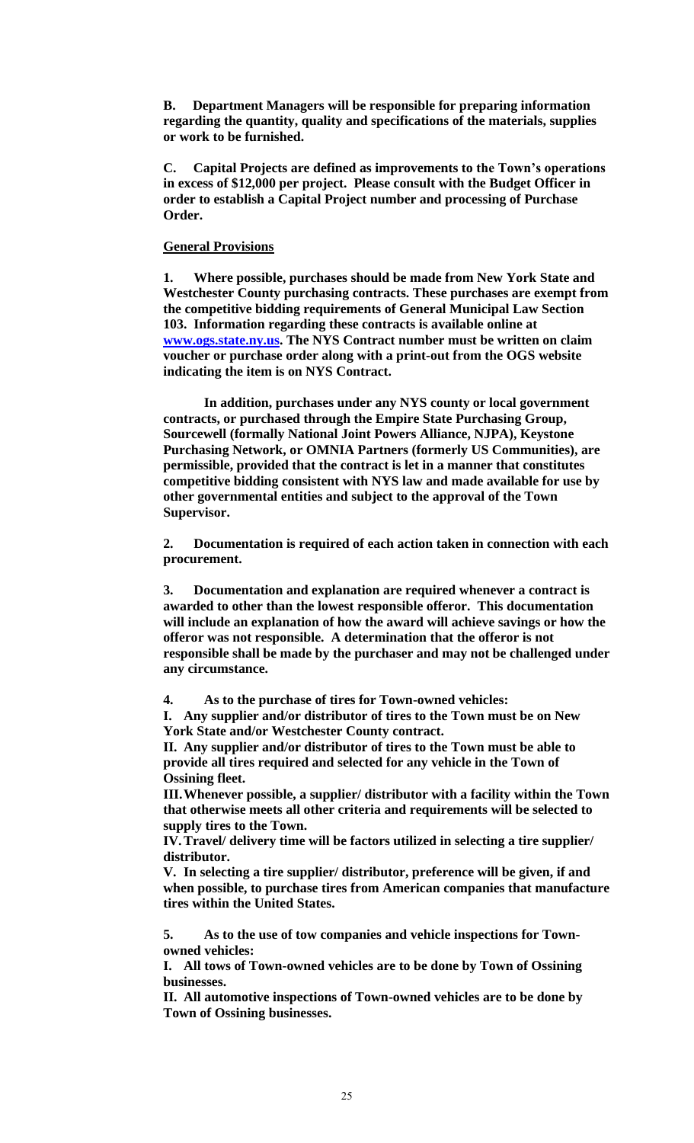**B. Department Managers will be responsible for preparing information regarding the quantity, quality and specifications of the materials, supplies or work to be furnished.**

**C. Capital Projects are defined as improvements to the Town's operations in excess of \$12,000 per project. Please consult with the Budget Officer in order to establish a Capital Project number and processing of Purchase Order.**

### **General Provisions**

**1. Where possible, purchases should be made from New York State and Westchester County purchasing contracts. These purchases are exempt from the competitive bidding requirements of General Municipal Law Section 103. Information regarding these contracts is available online at [www.ogs.state.ny.us.](http://www.ogs.state.ny.us/) The NYS Contract number must be written on claim voucher or purchase order along with a print-out from the OGS website indicating the item is on NYS Contract.**

**In addition, purchases under any NYS county or local government contracts, or purchased through the Empire State Purchasing Group, Sourcewell (formally National Joint Powers Alliance, NJPA), Keystone Purchasing Network, or OMNIA Partners (formerly US Communities), are permissible, provided that the contract is let in a manner that constitutes competitive bidding consistent with NYS law and made available for use by other governmental entities and subject to the approval of the Town Supervisor.**

**2. Documentation is required of each action taken in connection with each procurement.**

**3. Documentation and explanation are required whenever a contract is awarded to other than the lowest responsible offeror. This documentation will include an explanation of how the award will achieve savings or how the offeror was not responsible. A determination that the offeror is not responsible shall be made by the purchaser and may not be challenged under any circumstance.**

**4. As to the purchase of tires for Town-owned vehicles:**

**I. Any supplier and/or distributor of tires to the Town must be on New York State and/or Westchester County contract.**

**II. Any supplier and/or distributor of tires to the Town must be able to provide all tires required and selected for any vehicle in the Town of Ossining fleet.**

**III.Whenever possible, a supplier/ distributor with a facility within the Town that otherwise meets all other criteria and requirements will be selected to supply tires to the Town.**

**IV.Travel/ delivery time will be factors utilized in selecting a tire supplier/ distributor.**

**V. In selecting a tire supplier/ distributor, preference will be given, if and when possible, to purchase tires from American companies that manufacture tires within the United States.**

**5. As to the use of tow companies and vehicle inspections for Townowned vehicles:**

**I. All tows of Town-owned vehicles are to be done by Town of Ossining businesses.**

**II. All automotive inspections of Town-owned vehicles are to be done by Town of Ossining businesses.**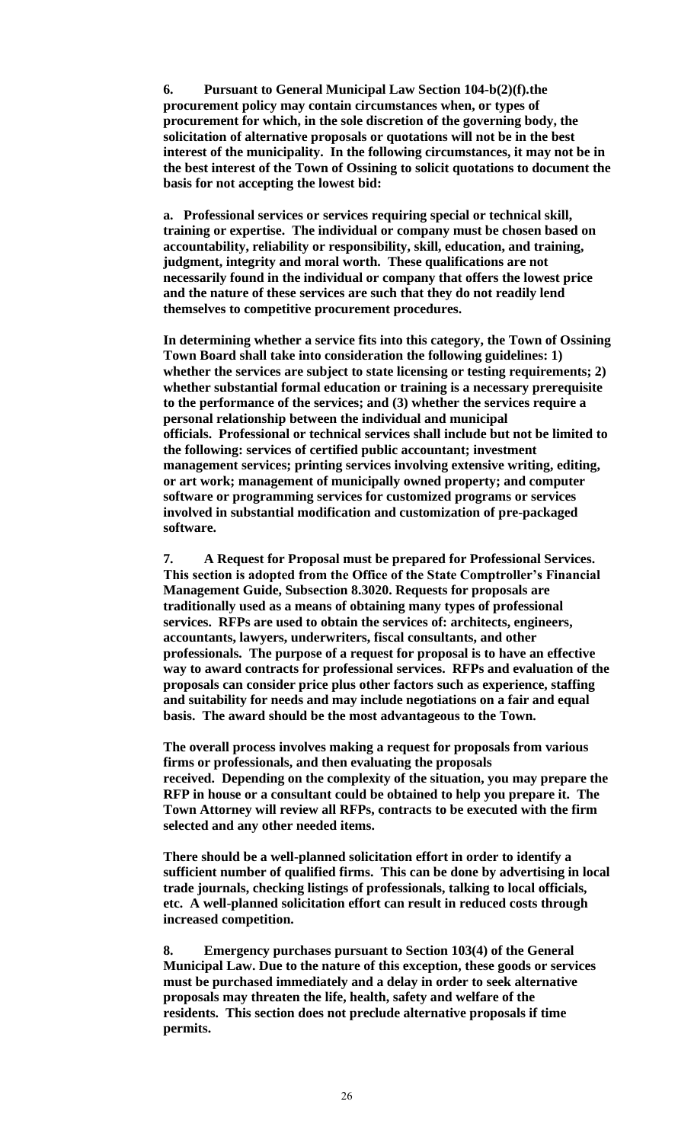**6. Pursuant to General Municipal Law Section 104-b(2)(f).the procurement policy may contain circumstances when, or types of procurement for which, in the sole discretion of the governing body, the solicitation of alternative proposals or quotations will not be in the best interest of the municipality. In the following circumstances, it may not be in the best interest of the Town of Ossining to solicit quotations to document the basis for not accepting the lowest bid:** 

**a. Professional services or services requiring special or technical skill, training or expertise. The individual or company must be chosen based on accountability, reliability or responsibility, skill, education, and training, judgment, integrity and moral worth. These qualifications are not necessarily found in the individual or company that offers the lowest price and the nature of these services are such that they do not readily lend themselves to competitive procurement procedures.**

**In determining whether a service fits into this category, the Town of Ossining Town Board shall take into consideration the following guidelines: 1) whether the services are subject to state licensing or testing requirements; 2) whether substantial formal education or training is a necessary prerequisite to the performance of the services; and (3) whether the services require a personal relationship between the individual and municipal officials. Professional or technical services shall include but not be limited to the following: services of certified public accountant; investment management services; printing services involving extensive writing, editing, or art work; management of municipally owned property; and computer software or programming services for customized programs or services involved in substantial modification and customization of pre-packaged software.**

**7. A Request for Proposal must be prepared for Professional Services. This section is adopted from the Office of the State Comptroller's Financial Management Guide, Subsection 8.3020. Requests for proposals are traditionally used as a means of obtaining many types of professional services. RFPs are used to obtain the services of: architects, engineers, accountants, lawyers, underwriters, fiscal consultants, and other professionals. The purpose of a request for proposal is to have an effective way to award contracts for professional services. RFPs and evaluation of the proposals can consider price plus other factors such as experience, staffing and suitability for needs and may include negotiations on a fair and equal basis. The award should be the most advantageous to the Town.**

**The overall process involves making a request for proposals from various firms or professionals, and then evaluating the proposals received. Depending on the complexity of the situation, you may prepare the RFP in house or a consultant could be obtained to help you prepare it. The Town Attorney will review all RFPs, contracts to be executed with the firm selected and any other needed items.**

**There should be a well-planned solicitation effort in order to identify a sufficient number of qualified firms. This can be done by advertising in local trade journals, checking listings of professionals, talking to local officials, etc. A well-planned solicitation effort can result in reduced costs through increased competition.**

**8. Emergency purchases pursuant to Section 103(4) of the General Municipal Law. Due to the nature of this exception, these goods or services must be purchased immediately and a delay in order to seek alternative proposals may threaten the life, health, safety and welfare of the residents. This section does not preclude alternative proposals if time permits.**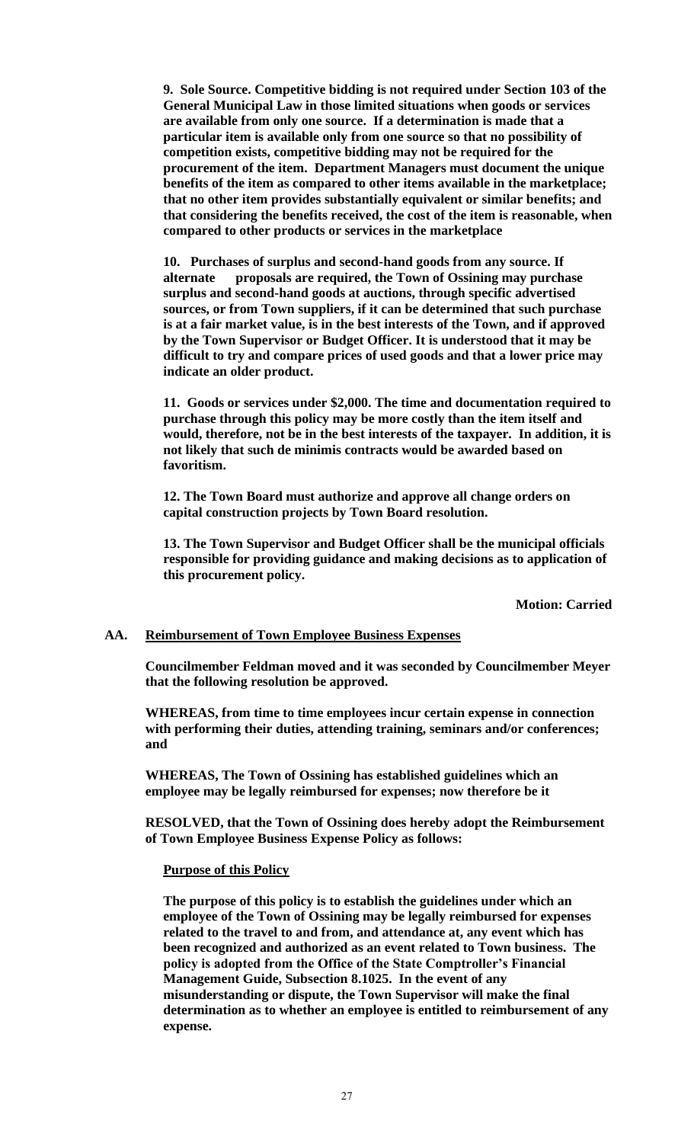**9. Sole Source. Competitive bidding is not required under Section 103 of the General Municipal Law in those limited situations when goods or services are available from only one source. If a determination is made that a particular item is available only from one source so that no possibility of competition exists, competitive bidding may not be required for the procurement of the item. Department Managers must document the unique benefits of the item as compared to other items available in the marketplace; that no other item provides substantially equivalent or similar benefits; and that considering the benefits received, the cost of the item is reasonable, when compared to other products or services in the marketplace**

**10. Purchases of surplus and second-hand goods from any source. If alternate proposals are required, the Town of Ossining may purchase surplus and second-hand goods at auctions, through specific advertised sources, or from Town suppliers, if it can be determined that such purchase is at a fair market value, is in the best interests of the Town, and if approved by the Town Supervisor or Budget Officer. It is understood that it may be difficult to try and compare prices of used goods and that a lower price may indicate an older product.**

**11. Goods or services under \$2,000. The time and documentation required to purchase through this policy may be more costly than the item itself and would, therefore, not be in the best interests of the taxpayer. In addition, it is not likely that such de minimis contracts would be awarded based on favoritism.**

**12. The Town Board must authorize and approve all change orders on capital construction projects by Town Board resolution.**

**13. The Town Supervisor and Budget Officer shall be the municipal officials responsible for providing guidance and making decisions as to application of this procurement policy.**

**Motion: Carried**

### **AA. Reimbursement of Town Employee Business Expenses**

**Councilmember Feldman moved and it was seconded by Councilmember Meyer that the following resolution be approved.**

**WHEREAS, from time to time employees incur certain expense in connection with performing their duties, attending training, seminars and/or conferences; and**

**WHEREAS, The Town of Ossining has established guidelines which an employee may be legally reimbursed for expenses; now therefore be it**

**RESOLVED, that the Town of Ossining does hereby adopt the Reimbursement of Town Employee Business Expense Policy as follows:**

### **Purpose of this Policy**

**The purpose of this policy is to establish the guidelines under which an employee of the Town of Ossining may be legally reimbursed for expenses related to the travel to and from, and attendance at, any event which has been recognized and authorized as an event related to Town business. The policy is adopted from the Office of the State Comptroller's Financial Management Guide, Subsection 8.1025. In the event of any misunderstanding or dispute, the Town Supervisor will make the final determination as to whether an employee is entitled to reimbursement of any expense.**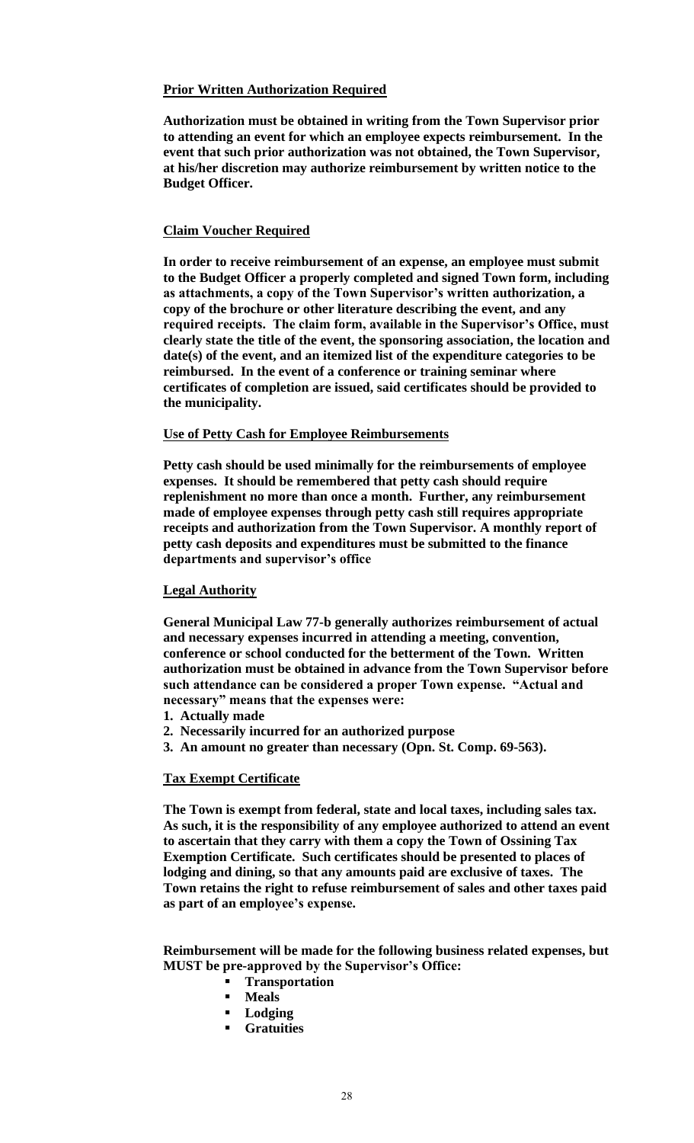# **Prior Written Authorization Required**

**Authorization must be obtained in writing from the Town Supervisor prior to attending an event for which an employee expects reimbursement. In the event that such prior authorization was not obtained, the Town Supervisor, at his/her discretion may authorize reimbursement by written notice to the Budget Officer.**

### **Claim Voucher Required**

**In order to receive reimbursement of an expense, an employee must submit to the Budget Officer a properly completed and signed Town form, including as attachments, a copy of the Town Supervisor's written authorization, a copy of the brochure or other literature describing the event, and any required receipts. The claim form, available in the Supervisor's Office, must clearly state the title of the event, the sponsoring association, the location and date(s) of the event, and an itemized list of the expenditure categories to be reimbursed. In the event of a conference or training seminar where certificates of completion are issued, said certificates should be provided to the municipality.**

### **Use of Petty Cash for Employee Reimbursements**

**Petty cash should be used minimally for the reimbursements of employee expenses. It should be remembered that petty cash should require replenishment no more than once a month. Further, any reimbursement made of employee expenses through petty cash still requires appropriate receipts and authorization from the Town Supervisor. A monthly report of petty cash deposits and expenditures must be submitted to the finance departments and supervisor's office** 

### **Legal Authority**

**General Municipal Law 77-b generally authorizes reimbursement of actual and necessary expenses incurred in attending a meeting, convention, conference or school conducted for the betterment of the Town. Written authorization must be obtained in advance from the Town Supervisor before such attendance can be considered a proper Town expense. "Actual and necessary" means that the expenses were:**

- **1. Actually made**
- **2. Necessarily incurred for an authorized purpose**
- **3. An amount no greater than necessary (Opn. St. Comp. 69-563).**

# **Tax Exempt Certificate**

**The Town is exempt from federal, state and local taxes, including sales tax. As such, it is the responsibility of any employee authorized to attend an event to ascertain that they carry with them a copy the Town of Ossining Tax Exemption Certificate. Such certificates should be presented to places of lodging and dining, so that any amounts paid are exclusive of taxes. The Town retains the right to refuse reimbursement of sales and other taxes paid as part of an employee's expense.**

**Reimbursement will be made for the following business related expenses, but MUST be pre-approved by the Supervisor's Office:**

- **Transportation**
- **Meals**
- **Lodging**
- **Gratuities**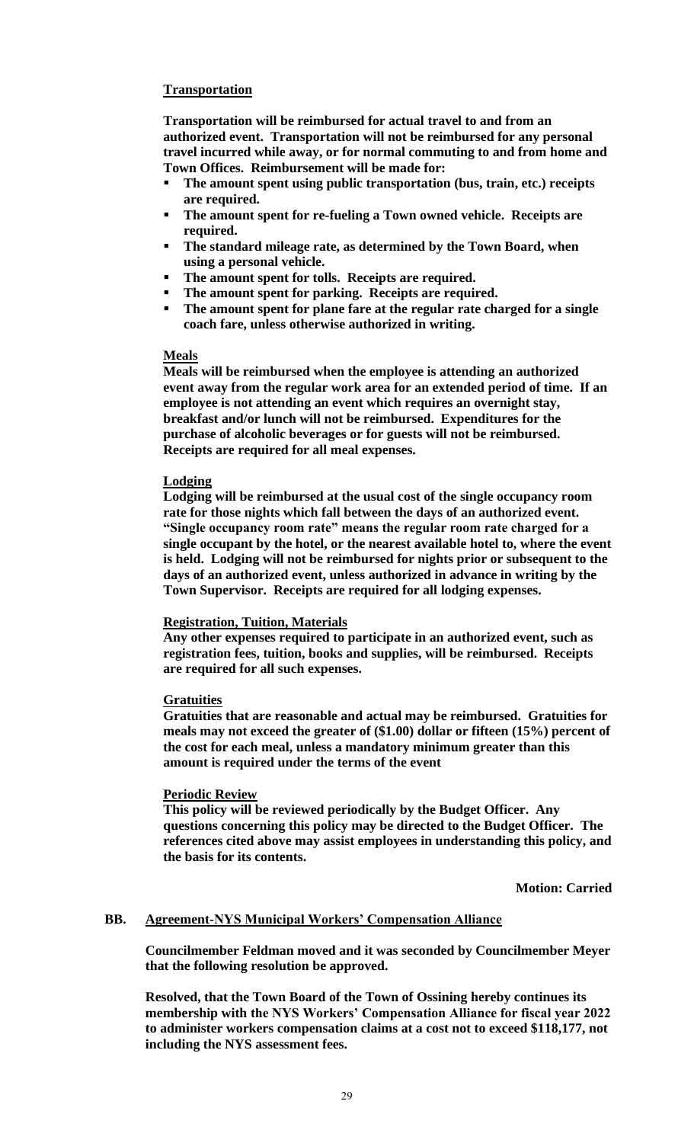# **Transportation**

**Transportation will be reimbursed for actual travel to and from an authorized event. Transportation will not be reimbursed for any personal travel incurred while away, or for normal commuting to and from home and Town Offices. Reimbursement will be made for:**

- The amount spent using public transportation (bus, train, etc.) receipts **are required.**
- **The amount spent for re-fueling a Town owned vehicle. Receipts are required.**
- **The standard mileage rate, as determined by the Town Board, when using a personal vehicle.**
- The amount spent for tolls. Receipts are required.
- The amount spent for parking. Receipts are required.
- The amount spent for plane fare at the regular rate charged for a single **coach fare, unless otherwise authorized in writing.**

### **Meals**

**Meals will be reimbursed when the employee is attending an authorized event away from the regular work area for an extended period of time. If an employee is not attending an event which requires an overnight stay, breakfast and/or lunch will not be reimbursed. Expenditures for the purchase of alcoholic beverages or for guests will not be reimbursed. Receipts are required for all meal expenses.** 

### **Lodging**

**Lodging will be reimbursed at the usual cost of the single occupancy room rate for those nights which fall between the days of an authorized event. "Single occupancy room rate" means the regular room rate charged for a single occupant by the hotel, or the nearest available hotel to, where the event is held. Lodging will not be reimbursed for nights prior or subsequent to the days of an authorized event, unless authorized in advance in writing by the Town Supervisor. Receipts are required for all lodging expenses.**

### **Registration, Tuition, Materials**

**Any other expenses required to participate in an authorized event, such as registration fees, tuition, books and supplies, will be reimbursed. Receipts are required for all such expenses.**

# **Gratuities**

**Gratuities that are reasonable and actual may be reimbursed. Gratuities for meals may not exceed the greater of (\$1.00) dollar or fifteen (15%) percent of the cost for each meal, unless a mandatory minimum greater than this amount is required under the terms of the event**

# **Periodic Review**

**This policy will be reviewed periodically by the Budget Officer. Any questions concerning this policy may be directed to the Budget Officer. The references cited above may assist employees in understanding this policy, and the basis for its contents.**

**Motion: Carried**

# **BB. Agreement-NYS Municipal Workers' Compensation Alliance**

**Councilmember Feldman moved and it was seconded by Councilmember Meyer that the following resolution be approved.**

**Resolved, that the Town Board of the Town of Ossining hereby continues its membership with the NYS Workers' Compensation Alliance for fiscal year 2022 to administer workers compensation claims at a cost not to exceed \$118,177, not including the NYS assessment fees.**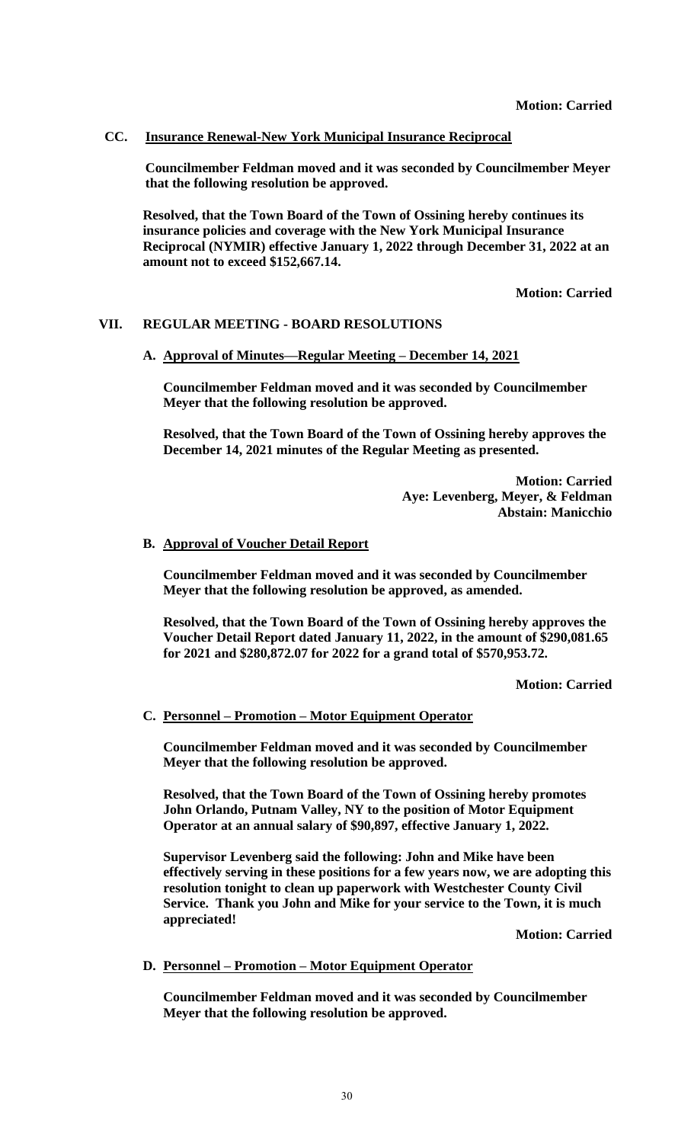### **CC. Insurance Renewal-New York Municipal Insurance Reciprocal**

**Councilmember Feldman moved and it was seconded by Councilmember Meyer that the following resolution be approved.**

**Resolved, that the Town Board of the Town of Ossining hereby continues its insurance policies and coverage with the New York Municipal Insurance Reciprocal (NYMIR) effective January 1, 2022 through December 31, 2022 at an amount not to exceed \$152,667.14.**

**Motion: Carried**

### **VII. REGULAR MEETING - BOARD RESOLUTIONS**

**A. Approval of Minutes—Regular Meeting – December 14, 2021**

**Councilmember Feldman moved and it was seconded by Councilmember Meyer that the following resolution be approved.**

**Resolved, that the Town Board of the Town of Ossining hereby approves the December 14, 2021 minutes of the Regular Meeting as presented.**

> **Motion: Carried Aye: Levenberg, Meyer, & Feldman Abstain: Manicchio**

#### **B. Approval of Voucher Detail Report**

**Councilmember Feldman moved and it was seconded by Councilmember Meyer that the following resolution be approved, as amended.**

**Resolved, that the Town Board of the Town of Ossining hereby approves the Voucher Detail Report dated January 11, 2022, in the amount of \$290,081.65 for 2021 and \$280,872.07 for 2022 for a grand total of \$570,953.72.**

**Motion: Carried**

#### **C. Personnel – Promotion – Motor Equipment Operator**

**Councilmember Feldman moved and it was seconded by Councilmember Meyer that the following resolution be approved.**

**Resolved, that the Town Board of the Town of Ossining hereby promotes John Orlando, Putnam Valley, NY to the position of Motor Equipment Operator at an annual salary of \$90,897, effective January 1, 2022.**

**Supervisor Levenberg said the following: John and Mike have been effectively serving in these positions for a few years now, we are adopting this resolution tonight to clean up paperwork with Westchester County Civil Service. Thank you John and Mike for your service to the Town, it is much appreciated!**

**Motion: Carried**

### **D. Personnel – Promotion – Motor Equipment Operator**

**Councilmember Feldman moved and it was seconded by Councilmember Meyer that the following resolution be approved.**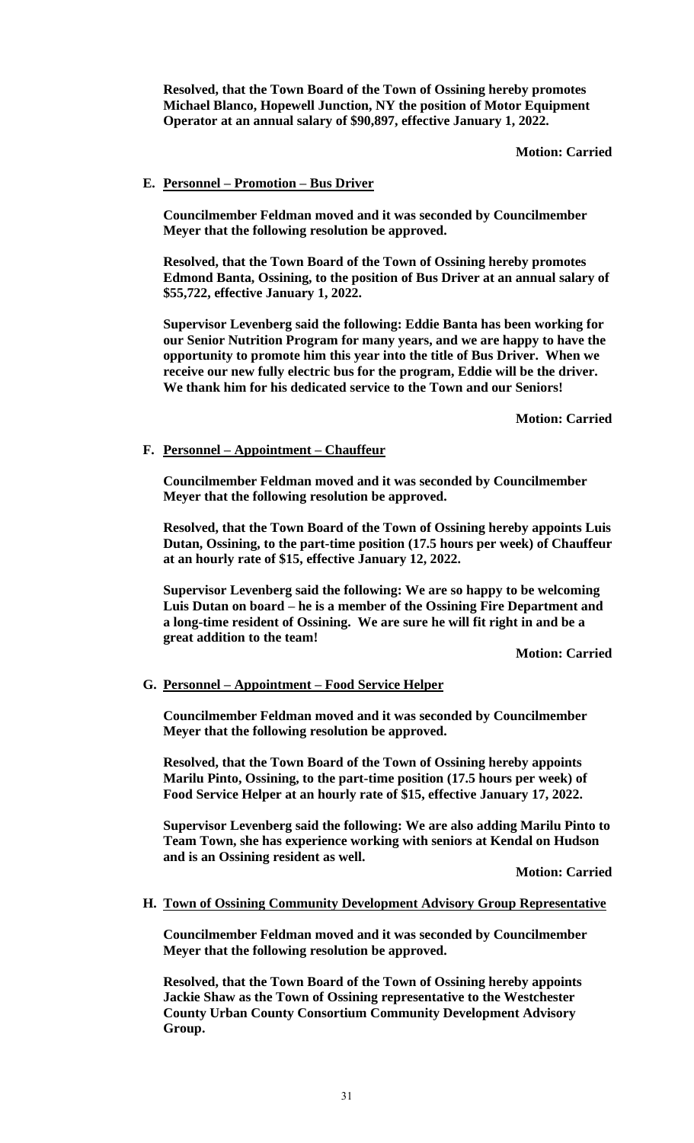**Resolved, that the Town Board of the Town of Ossining hereby promotes Michael Blanco, Hopewell Junction, NY the position of Motor Equipment Operator at an annual salary of \$90,897, effective January 1, 2022.** 

# **Motion: Carried**

# **E. Personnel – Promotion – Bus Driver**

**Councilmember Feldman moved and it was seconded by Councilmember Meyer that the following resolution be approved.**

**Resolved, that the Town Board of the Town of Ossining hereby promotes Edmond Banta, Ossining, to the position of Bus Driver at an annual salary of \$55,722, effective January 1, 2022.** 

**Supervisor Levenberg said the following: Eddie Banta has been working for our Senior Nutrition Program for many years, and we are happy to have the opportunity to promote him this year into the title of Bus Driver. When we receive our new fully electric bus for the program, Eddie will be the driver. We thank him for his dedicated service to the Town and our Seniors!**

**Motion: Carried**

# **F. Personnel – Appointment – Chauffeur**

**Councilmember Feldman moved and it was seconded by Councilmember Meyer that the following resolution be approved.**

**Resolved, that the Town Board of the Town of Ossining hereby appoints Luis Dutan, Ossining, to the part-time position (17.5 hours per week) of Chauffeur at an hourly rate of \$15, effective January 12, 2022.** 

**Supervisor Levenberg said the following: We are so happy to be welcoming Luis Dutan on board – he is a member of the Ossining Fire Department and a long-time resident of Ossining. We are sure he will fit right in and be a great addition to the team!**

**Motion: Carried**

**G. Personnel – Appointment – Food Service Helper**

**Councilmember Feldman moved and it was seconded by Councilmember Meyer that the following resolution be approved.**

**Resolved, that the Town Board of the Town of Ossining hereby appoints Marilu Pinto, Ossining, to the part-time position (17.5 hours per week) of Food Service Helper at an hourly rate of \$15, effective January 17, 2022.** 

**Supervisor Levenberg said the following: We are also adding Marilu Pinto to Team Town, she has experience working with seniors at Kendal on Hudson and is an Ossining resident as well.** 

**Motion: Carried**

# **H. Town of Ossining Community Development Advisory Group Representative**

**Councilmember Feldman moved and it was seconded by Councilmember Meyer that the following resolution be approved.**

**Resolved, that the Town Board of the Town of Ossining hereby appoints Jackie Shaw as the Town of Ossining representative to the Westchester County Urban County Consortium Community Development Advisory Group.**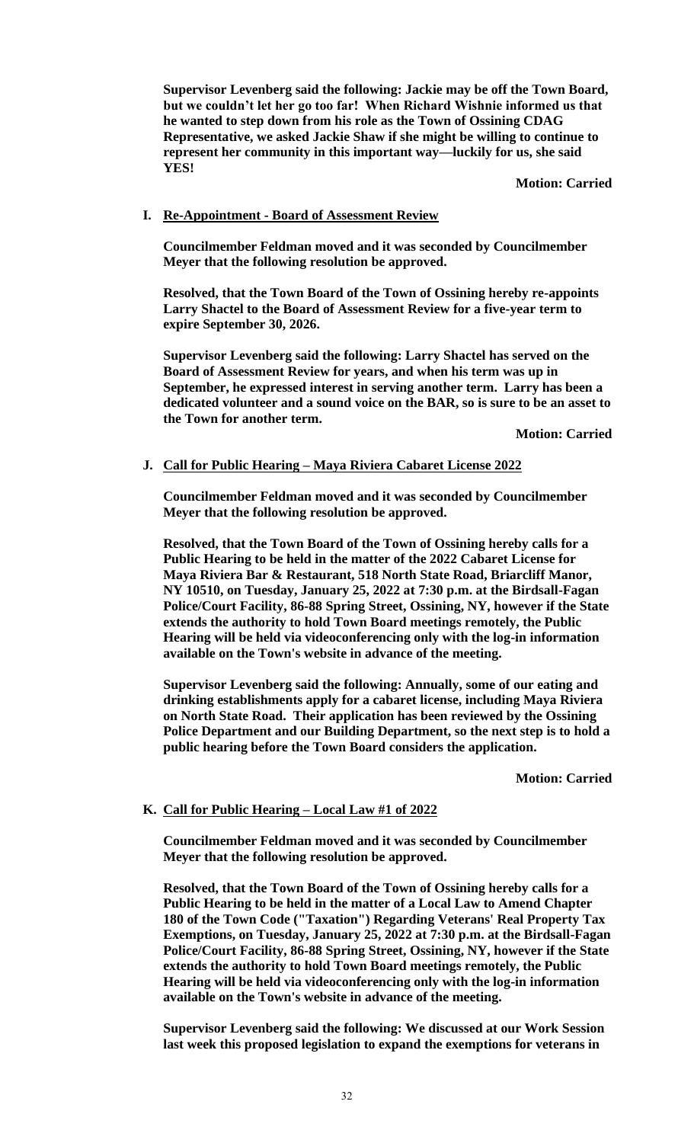**Supervisor Levenberg said the following: Jackie may be off the Town Board, but we couldn't let her go too far! When Richard Wishnie informed us that he wanted to step down from his role as the Town of Ossining CDAG Representative, we asked Jackie Shaw if she might be willing to continue to represent her community in this important way—luckily for us, she said YES!**

**Motion: Carried**

### **I. Re-Appointment - Board of Assessment Review**

**Councilmember Feldman moved and it was seconded by Councilmember Meyer that the following resolution be approved.**

**Resolved, that the Town Board of the Town of Ossining hereby re-appoints Larry Shactel to the Board of Assessment Review for a five-year term to expire September 30, 2026.** 

**Supervisor Levenberg said the following: Larry Shactel has served on the Board of Assessment Review for years, and when his term was up in September, he expressed interest in serving another term. Larry has been a dedicated volunteer and a sound voice on the BAR, so is sure to be an asset to the Town for another term.**

**Motion: Carried**

### **J. Call for Public Hearing – Maya Riviera Cabaret License 2022**

**Councilmember Feldman moved and it was seconded by Councilmember Meyer that the following resolution be approved.**

**Resolved, that the Town Board of the Town of Ossining hereby calls for a Public Hearing to be held in the matter of the 2022 Cabaret License for Maya Riviera Bar & Restaurant, 518 North State Road, Briarcliff Manor, NY 10510, on Tuesday, January 25, 2022 at 7:30 p.m. at the Birdsall-Fagan Police/Court Facility, 86-88 Spring Street, Ossining, NY, however if the State extends the authority to hold Town Board meetings remotely, the Public Hearing will be held via videoconferencing only with the log-in information available on the Town's website in advance of the meeting.**

**Supervisor Levenberg said the following: Annually, some of our eating and drinking establishments apply for a cabaret license, including Maya Riviera on North State Road. Their application has been reviewed by the Ossining Police Department and our Building Department, so the next step is to hold a public hearing before the Town Board considers the application.** 

**Motion: Carried**

### **K. Call for Public Hearing – Local Law #1 of 2022**

**Councilmember Feldman moved and it was seconded by Councilmember Meyer that the following resolution be approved.**

**Resolved, that the Town Board of the Town of Ossining hereby calls for a Public Hearing to be held in the matter of a Local Law to Amend Chapter 180 of the Town Code ("Taxation") Regarding Veterans' Real Property Tax Exemptions, on Tuesday, January 25, 2022 at 7:30 p.m. at the Birdsall-Fagan Police/Court Facility, 86-88 Spring Street, Ossining, NY, however if the State extends the authority to hold Town Board meetings remotely, the Public Hearing will be held via videoconferencing only with the log-in information available on the Town's website in advance of the meeting.**

**Supervisor Levenberg said the following: We discussed at our Work Session last week this proposed legislation to expand the exemptions for veterans in**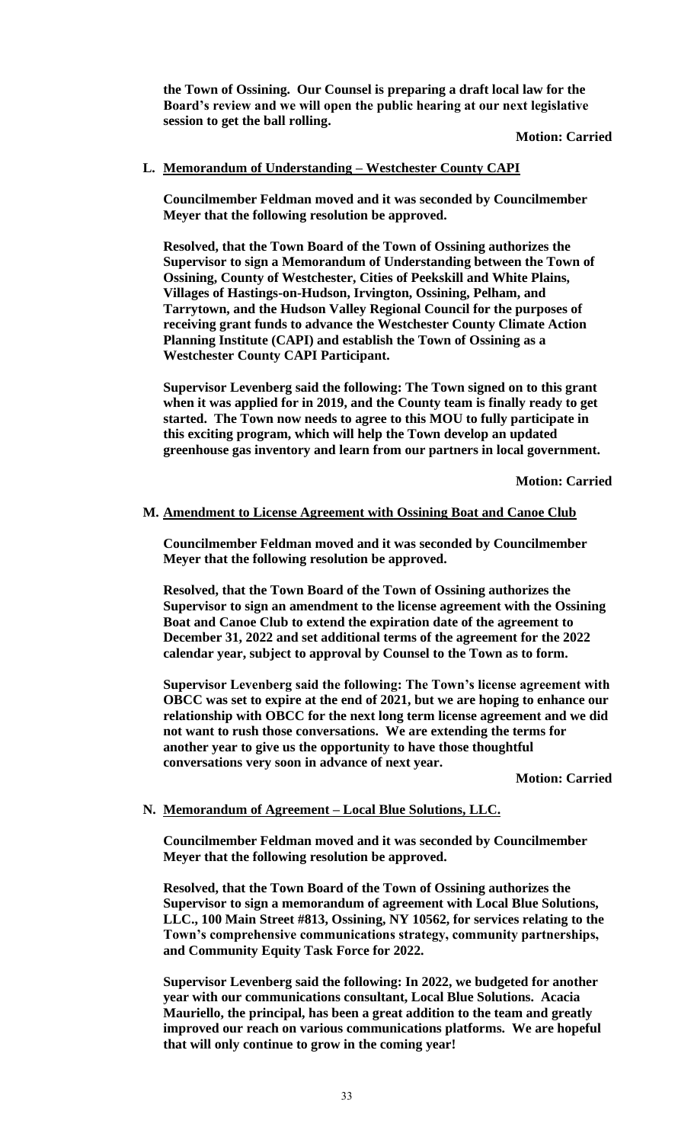**the Town of Ossining. Our Counsel is preparing a draft local law for the Board's review and we will open the public hearing at our next legislative session to get the ball rolling.**

**Motion: Carried**

### **L. Memorandum of Understanding – Westchester County CAPI**

**Councilmember Feldman moved and it was seconded by Councilmember Meyer that the following resolution be approved.**

**Resolved, that the Town Board of the Town of Ossining authorizes the Supervisor to sign a Memorandum of Understanding between the Town of Ossining, County of Westchester, Cities of Peekskill and White Plains, Villages of Hastings-on-Hudson, Irvington, Ossining, Pelham, and Tarrytown, and the Hudson Valley Regional Council for the purposes of receiving grant funds to advance the Westchester County Climate Action Planning Institute (CAPI) and establish the Town of Ossining as a Westchester County CAPI Participant.** 

**Supervisor Levenberg said the following: The Town signed on to this grant when it was applied for in 2019, and the County team is finally ready to get started. The Town now needs to agree to this MOU to fully participate in this exciting program, which will help the Town develop an updated greenhouse gas inventory and learn from our partners in local government.**

**Motion: Carried**

### **M. Amendment to License Agreement with Ossining Boat and Canoe Club**

**Councilmember Feldman moved and it was seconded by Councilmember Meyer that the following resolution be approved.**

**Resolved, that the Town Board of the Town of Ossining authorizes the Supervisor to sign an amendment to the license agreement with the Ossining Boat and Canoe Club to extend the expiration date of the agreement to December 31, 2022 and set additional terms of the agreement for the 2022 calendar year, subject to approval by Counsel to the Town as to form.** 

**Supervisor Levenberg said the following: The Town's license agreement with OBCC was set to expire at the end of 2021, but we are hoping to enhance our relationship with OBCC for the next long term license agreement and we did not want to rush those conversations. We are extending the terms for another year to give us the opportunity to have those thoughtful conversations very soon in advance of next year.** 

**Motion: Carried**

### **N. Memorandum of Agreement – Local Blue Solutions, LLC.**

**Councilmember Feldman moved and it was seconded by Councilmember Meyer that the following resolution be approved.**

**Resolved, that the Town Board of the Town of Ossining authorizes the Supervisor to sign a memorandum of agreement with Local Blue Solutions, LLC., 100 Main Street #813, Ossining, NY 10562, for services relating to the Town's comprehensive communications strategy, community partnerships, and Community Equity Task Force for 2022.** 

**Supervisor Levenberg said the following: In 2022, we budgeted for another year with our communications consultant, Local Blue Solutions. Acacia Mauriello, the principal, has been a great addition to the team and greatly improved our reach on various communications platforms. We are hopeful that will only continue to grow in the coming year!**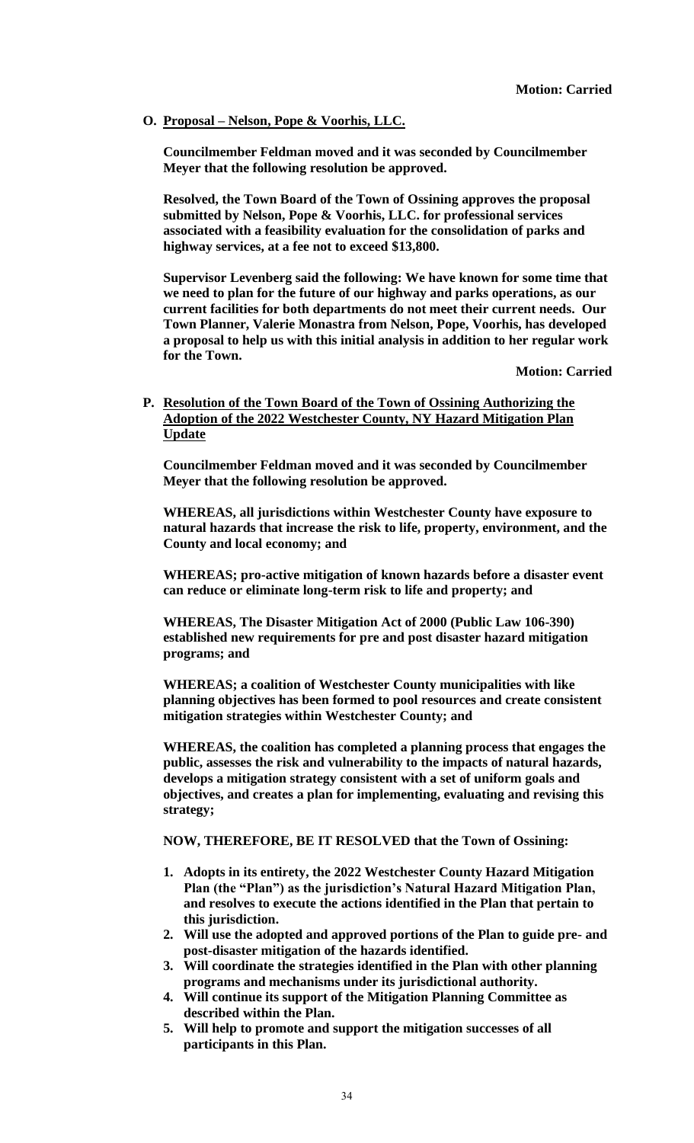**O. Proposal – Nelson, Pope & Voorhis, LLC.**

**Councilmember Feldman moved and it was seconded by Councilmember Meyer that the following resolution be approved.**

**Resolved, the Town Board of the Town of Ossining approves the proposal submitted by Nelson, Pope & Voorhis, LLC. for professional services associated with a feasibility evaluation for the consolidation of parks and highway services, at a fee not to exceed \$13,800.** 

**Supervisor Levenberg said the following: We have known for some time that we need to plan for the future of our highway and parks operations, as our current facilities for both departments do not meet their current needs. Our Town Planner, Valerie Monastra from Nelson, Pope, Voorhis, has developed a proposal to help us with this initial analysis in addition to her regular work for the Town.** 

**Motion: Carried**

# **P. Resolution of the Town Board of the Town of Ossining Authorizing the Adoption of the 2022 Westchester County, NY Hazard Mitigation Plan Update**

**Councilmember Feldman moved and it was seconded by Councilmember Meyer that the following resolution be approved.**

**WHEREAS, all jurisdictions within Westchester County have exposure to natural hazards that increase the risk to life, property, environment, and the County and local economy; and**

**WHEREAS; pro-active mitigation of known hazards before a disaster event can reduce or eliminate long-term risk to life and property; and**

**WHEREAS, The Disaster Mitigation Act of 2000 (Public Law 106-390) established new requirements for pre and post disaster hazard mitigation programs; and**

**WHEREAS; a coalition of Westchester County municipalities with like planning objectives has been formed to pool resources and create consistent mitigation strategies within Westchester County; and**

**WHEREAS, the coalition has completed a planning process that engages the public, assesses the risk and vulnerability to the impacts of natural hazards, develops a mitigation strategy consistent with a set of uniform goals and objectives, and creates a plan for implementing, evaluating and revising this strategy;**

**NOW, THEREFORE, BE IT RESOLVED that the Town of Ossining:**

- **1. Adopts in its entirety, the 2022 Westchester County Hazard Mitigation Plan (the "Plan") as the jurisdiction's Natural Hazard Mitigation Plan, and resolves to execute the actions identified in the Plan that pertain to this jurisdiction.**
- **2. Will use the adopted and approved portions of the Plan to guide pre- and post-disaster mitigation of the hazards identified.**
- **3. Will coordinate the strategies identified in the Plan with other planning programs and mechanisms under its jurisdictional authority.**
- **4. Will continue its support of the Mitigation Planning Committee as described within the Plan.**
- **5. Will help to promote and support the mitigation successes of all participants in this Plan.**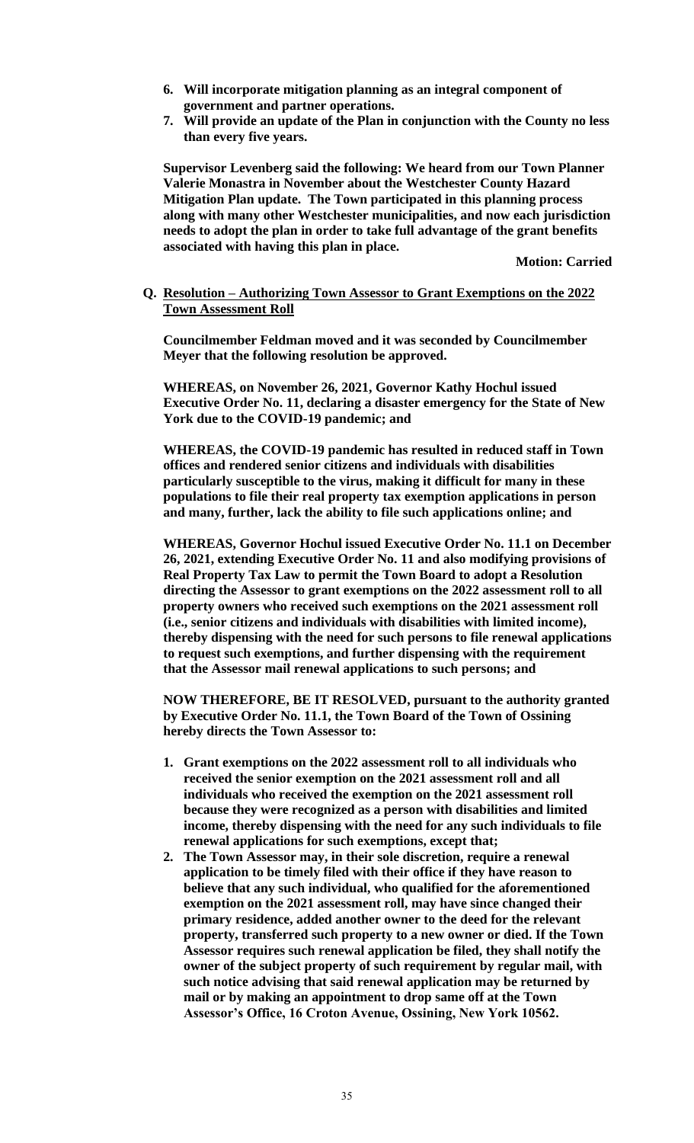- **6. Will incorporate mitigation planning as an integral component of government and partner operations.**
- **7. Will provide an update of the Plan in conjunction with the County no less than every five years.**

**Supervisor Levenberg said the following: We heard from our Town Planner Valerie Monastra in November about the Westchester County Hazard Mitigation Plan update. The Town participated in this planning process along with many other Westchester municipalities, and now each jurisdiction needs to adopt the plan in order to take full advantage of the grant benefits associated with having this plan in place.**

**Motion: Carried**

**Q. Resolution – Authorizing Town Assessor to Grant Exemptions on the 2022 Town Assessment Roll**

**Councilmember Feldman moved and it was seconded by Councilmember Meyer that the following resolution be approved.**

**WHEREAS, on November 26, 2021, Governor Kathy Hochul issued Executive Order No. 11, declaring a disaster emergency for the State of New York due to the COVID-19 pandemic; and**

**WHEREAS, the COVID-19 pandemic has resulted in reduced staff in Town offices and rendered senior citizens and individuals with disabilities particularly susceptible to the virus, making it difficult for many in these populations to file their real property tax exemption applications in person and many, further, lack the ability to file such applications online; and**

**WHEREAS, Governor Hochul issued Executive Order No. 11.1 on December 26, 2021, extending Executive Order No. 11 and also modifying provisions of Real Property Tax Law to permit the Town Board to adopt a Resolution directing the Assessor to grant exemptions on the 2022 assessment roll to all property owners who received such exemptions on the 2021 assessment roll (i.e., senior citizens and individuals with disabilities with limited income), thereby dispensing with the need for such persons to file renewal applications to request such exemptions, and further dispensing with the requirement that the Assessor mail renewal applications to such persons; and**

**NOW THEREFORE, BE IT RESOLVED, pursuant to the authority granted by Executive Order No. 11.1, the Town Board of the Town of Ossining hereby directs the Town Assessor to:**

- **1. Grant exemptions on the 2022 assessment roll to all individuals who received the senior exemption on the 2021 assessment roll and all individuals who received the exemption on the 2021 assessment roll because they were recognized as a person with disabilities and limited income, thereby dispensing with the need for any such individuals to file renewal applications for such exemptions, except that;**
- **2. The Town Assessor may, in their sole discretion, require a renewal application to be timely filed with their office if they have reason to believe that any such individual, who qualified for the aforementioned exemption on the 2021 assessment roll, may have since changed their primary residence, added another owner to the deed for the relevant property, transferred such property to a new owner or died. If the Town Assessor requires such renewal application be filed, they shall notify the owner of the subject property of such requirement by regular mail, with such notice advising that said renewal application may be returned by mail or by making an appointment to drop same off at the Town Assessor's Office, 16 Croton Avenue, Ossining, New York 10562.**